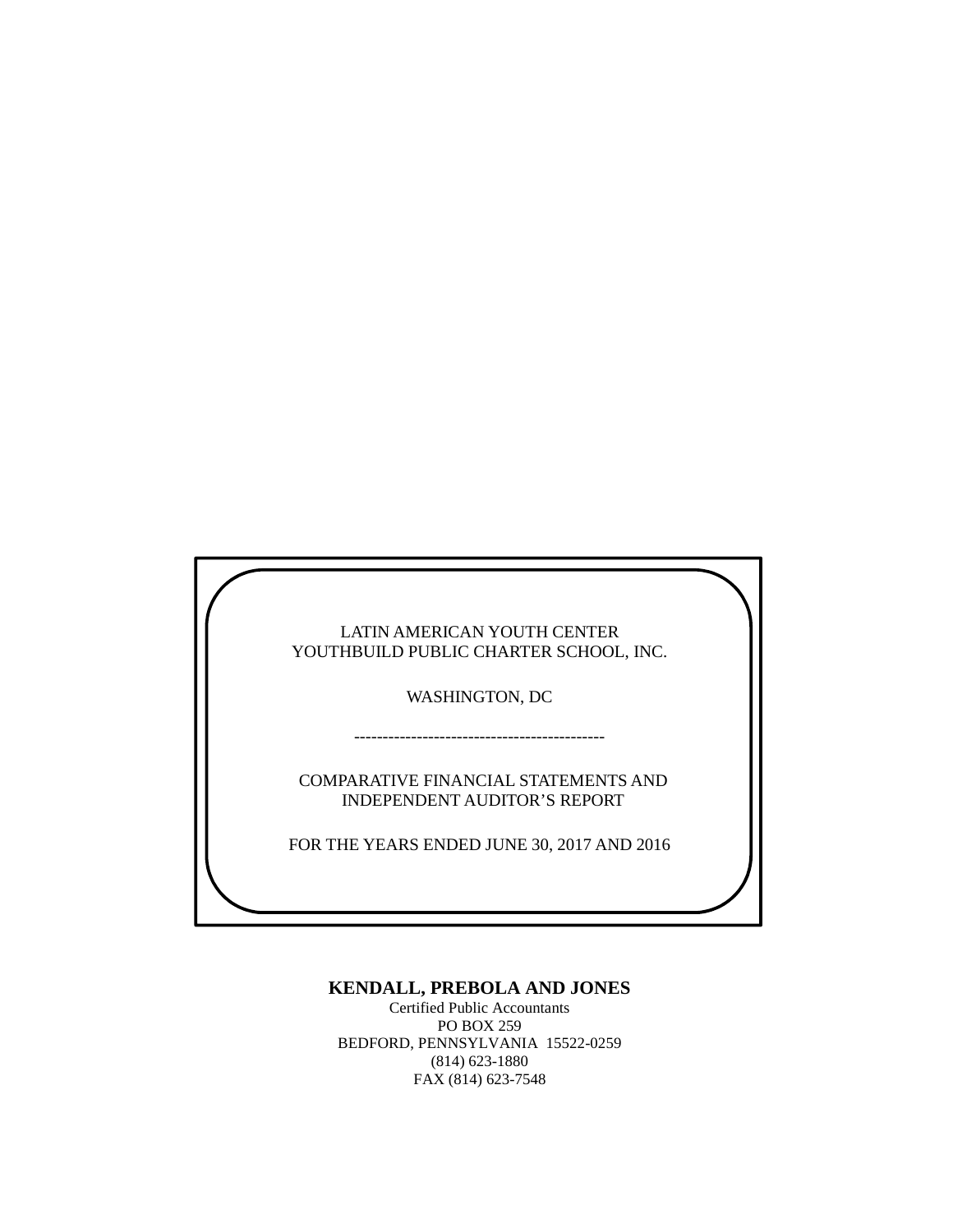## LATIN AMERICAN YOUTH CENTER YOUTHBUILD PUBLIC CHARTER SCHOOL, INC.

WASHINGTON, DC

--------------------------------------------

COMPARATIVE FINANCIAL STATEMENTS AND INDEPENDENT AUDITOR'S REPORT

FOR THE YEARS ENDED JUNE 30, 2017 AND 2016

## **KENDALL, PREBOLA AND JONES**

Certified Public Accountants PO BOX 259 BEDFORD, PENNSYLVANIA 15522-0259 (814) 623-1880 FAX (814) 623-7548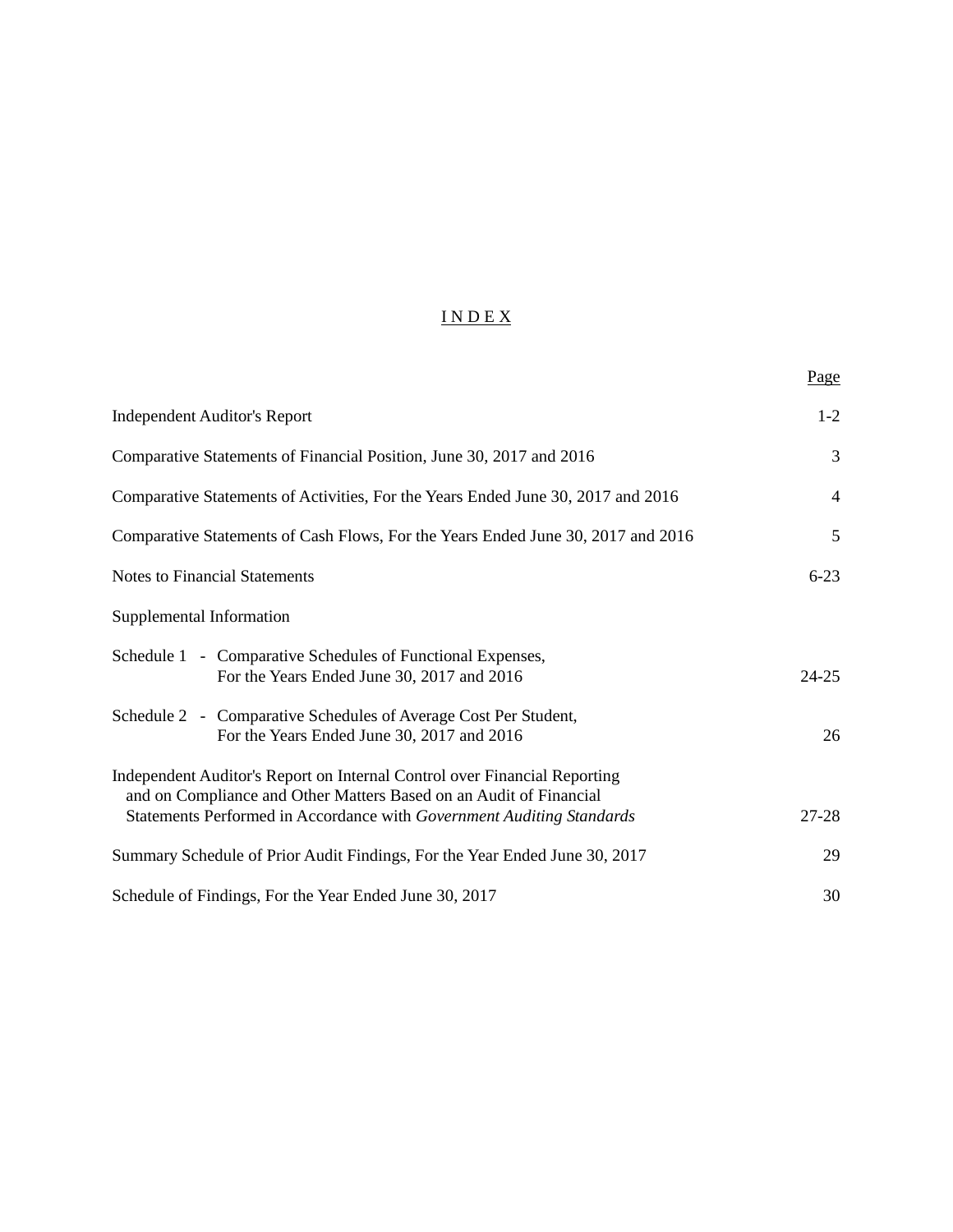## I N D E X

|                                                                                                                                                                                                                          | Page           |
|--------------------------------------------------------------------------------------------------------------------------------------------------------------------------------------------------------------------------|----------------|
| <b>Independent Auditor's Report</b>                                                                                                                                                                                      | $1 - 2$        |
| Comparative Statements of Financial Position, June 30, 2017 and 2016                                                                                                                                                     | 3              |
| Comparative Statements of Activities, For the Years Ended June 30, 2017 and 2016                                                                                                                                         | $\overline{4}$ |
| Comparative Statements of Cash Flows, For the Years Ended June 30, 2017 and 2016                                                                                                                                         | 5              |
| <b>Notes to Financial Statements</b>                                                                                                                                                                                     | $6 - 23$       |
| Supplemental Information                                                                                                                                                                                                 |                |
| Schedule 1 - Comparative Schedules of Functional Expenses,<br>For the Years Ended June 30, 2017 and 2016                                                                                                                 | $24 - 25$      |
| Schedule 2 - Comparative Schedules of Average Cost Per Student,<br>For the Years Ended June 30, 2017 and 2016                                                                                                            | 26             |
| Independent Auditor's Report on Internal Control over Financial Reporting<br>and on Compliance and Other Matters Based on an Audit of Financial<br>Statements Performed in Accordance with Government Auditing Standards | $27 - 28$      |
| Summary Schedule of Prior Audit Findings, For the Year Ended June 30, 2017                                                                                                                                               | 29             |
| Schedule of Findings, For the Year Ended June 30, 2017                                                                                                                                                                   | 30             |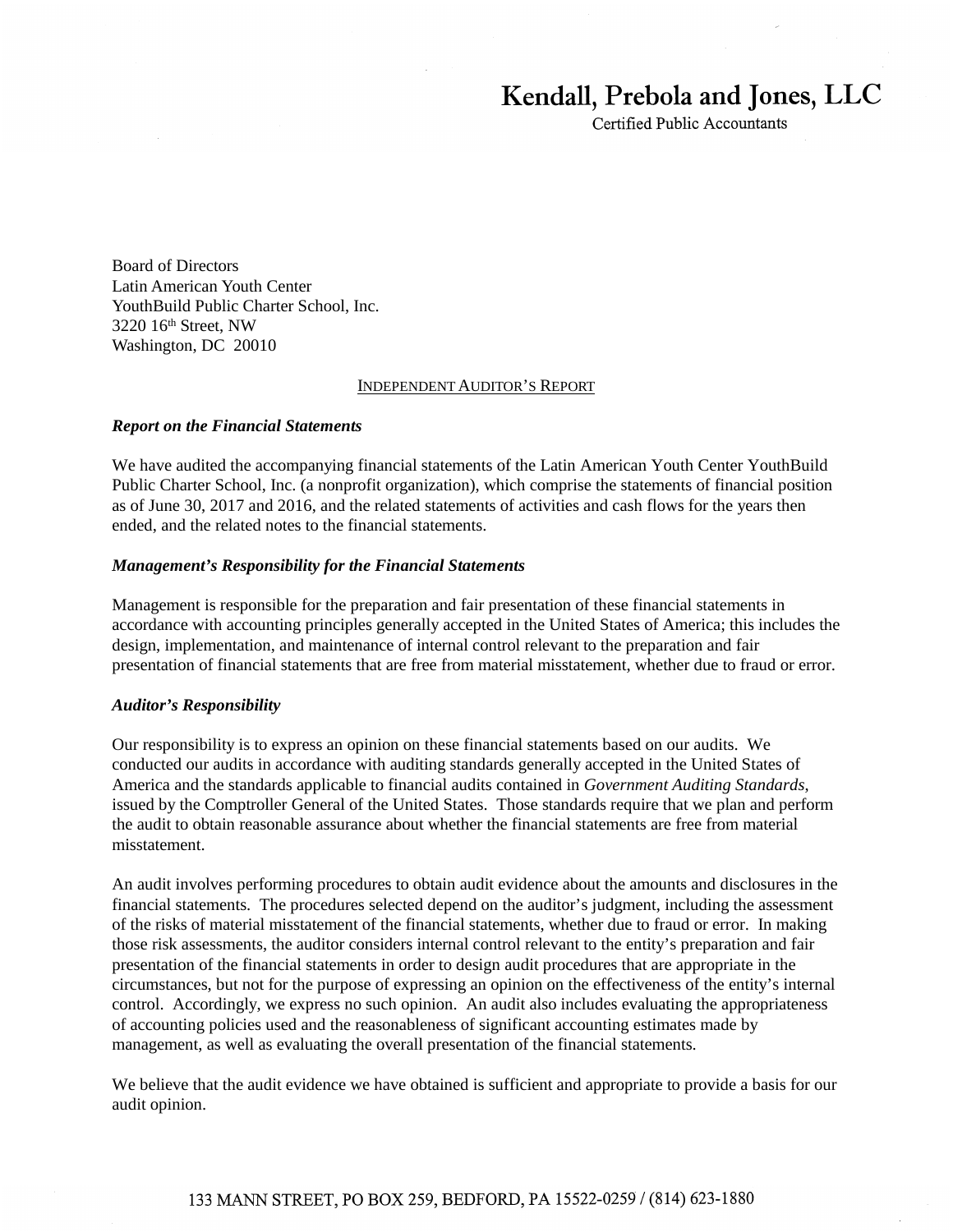# Kendall, Prebola and Jones, LLC

Certified Public Accountants

Board of Directors Latin American Youth Center YouthBuild Public Charter School, Inc. 3220 16th Street, NW Washington, DC 20010

#### INDEPENDENT AUDITOR'S REPORT

#### *Report on the Financial Statements*

We have audited the accompanying financial statements of the Latin American Youth Center YouthBuild Public Charter School, Inc. (a nonprofit organization), which comprise the statements of financial position as of June 30, 2017 and 2016, and the related statements of activities and cash flows for the years then ended, and the related notes to the financial statements.

#### *Management's Responsibility for the Financial Statements*

Management is responsible for the preparation and fair presentation of these financial statements in accordance with accounting principles generally accepted in the United States of America; this includes the design, implementation, and maintenance of internal control relevant to the preparation and fair presentation of financial statements that are free from material misstatement, whether due to fraud or error.

#### *Auditor's Responsibility*

Our responsibility is to express an opinion on these financial statements based on our audits. We conducted our audits in accordance with auditing standards generally accepted in the United States of America and the standards applicable to financial audits contained in *Government Auditing Standards*, issued by the Comptroller General of the United States. Those standards require that we plan and perform the audit to obtain reasonable assurance about whether the financial statements are free from material misstatement.

An audit involves performing procedures to obtain audit evidence about the amounts and disclosures in the financial statements. The procedures selected depend on the auditor's judgment, including the assessment of the risks of material misstatement of the financial statements, whether due to fraud or error. In making those risk assessments, the auditor considers internal control relevant to the entity's preparation and fair presentation of the financial statements in order to design audit procedures that are appropriate in the circumstances, but not for the purpose of expressing an opinion on the effectiveness of the entity's internal control. Accordingly, we express no such opinion. An audit also includes evaluating the appropriateness of accounting policies used and the reasonableness of significant accounting estimates made by management, as well as evaluating the overall presentation of the financial statements.

We believe that the audit evidence we have obtained is sufficient and appropriate to provide a basis for our audit opinion.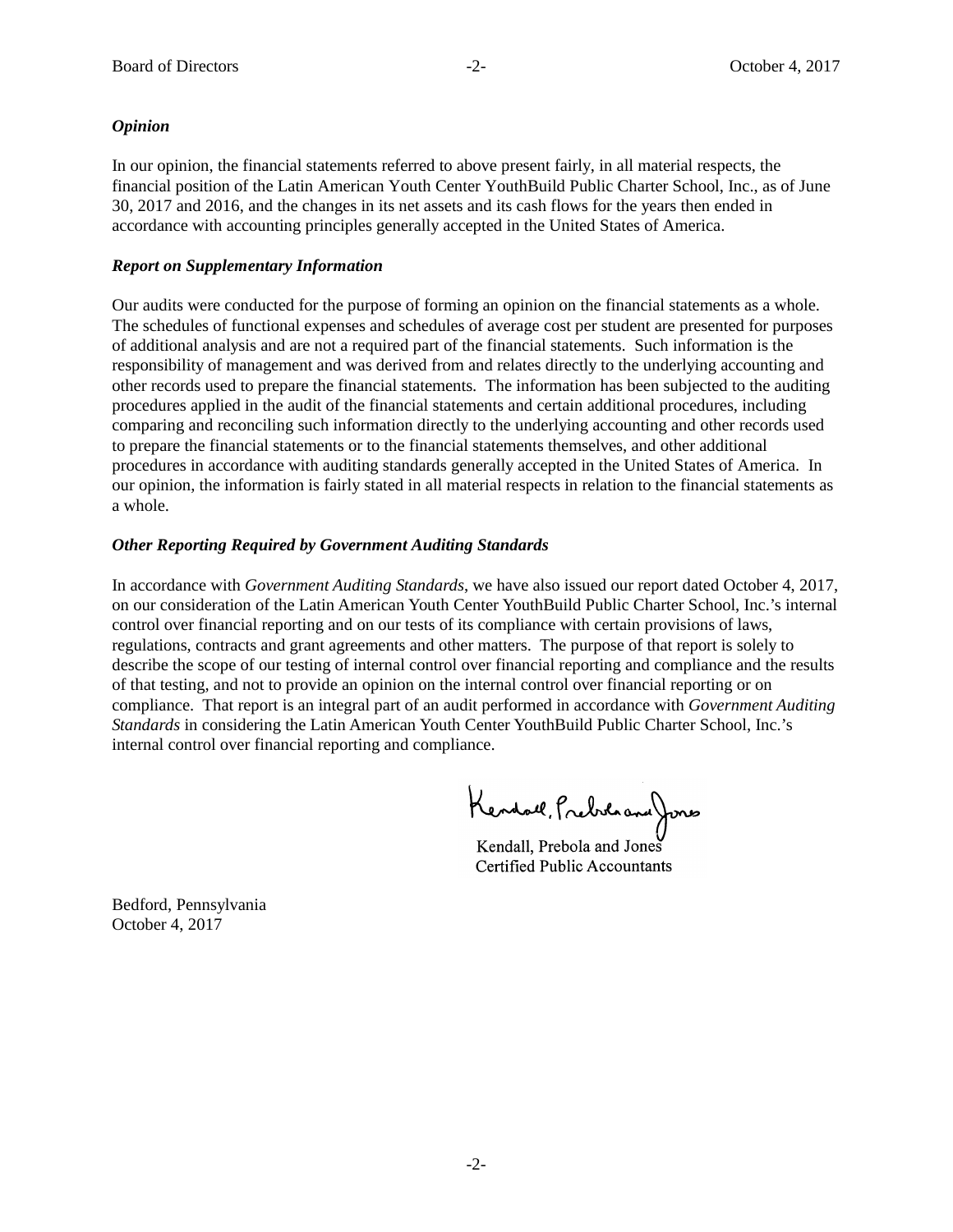#### *Opinion*  $\overline{\phantom{a}}$  *position of the Latin American*  $\mathcal{L}_{\mathcal{A}}$  *and*  $\mathcal{L}_{\mathcal{A}}$  *as of*  $\mathcal{L}_{\mathcal{A}}$

In our opinion, the financial statements referred to above present fairly, in all material respects, the financial position of the Latin American Youth Center YouthBuild Public Charter School, Inc., as of June 30, 2017 and 2016, and the changes in its net assets and its cash flows for the years then ended in accordance with accounting principles generally accepted in the United States of America. 30, 2015 and 2014, and the changes in its net assets and its cash flows for the years then ended in In our opinion, the mancial statements referred to above present fairly, in all material respectively and  $\alpha$ .

## **Report on Supplementary Information**

Our audits were conducted for the purpose of forming an opinion on the financial statements as a whole. The schedules of functional expenses and schedules of average cost per student are presented for purposes of additional analysis and are not a required part of the financial statements. Such information is the responsibility of management and was derived from and relates directly to the underlying accounting and other records used to prepare the financial statements. The information has been subjected to the auditing procedures applied in the audit of the financial statements and certain additional procedures, including comparing and reconciling such information directly to the underlying accounting and other records used to prepare the financial statements or to the financial statements themselves, and other additional procedures in accordance with auditing standards generally accepted in the United States of America. In our opinion, the information is fairly stated in all material respects in relation to the financial statements as a whole. for purposes of additional analysis and are not a required part of the financial statements. In addition, the Our audits were conducted for the purpose of forming an opinion on the financial statements as a who

## *Other Reporting Required by Government Auditing Standards Other Reporting Required by Government Auditing Standards*

In accordance with *Government Auditing Standards*, we have also issued our report dated October 4, 2017, on our consideration of the Latin American Youth Center YouthBuild Public Charter School, Inc.'s internal control over financial reporting and on our tests of its compliance with certain provisions of laws, regulations, contracts and grant agreements and other matters. The purpose of that report is solely to describe the scope of our testing of internal control over financial reporting and compliance and the results of that testing, and not to provide an opinion on the internal control over financial reporting or on compliance. That report is an integral part of an audit performed in accordance with *Government Auditing* Standards in considering the Latin American Youth Center YouthBuild Public Charter School, Inc.'s internal control over financial reporting and compliance.

Kendal, Prebihand Jones

Kendall, Prebola and Jones Kendall, Prebola and Jones Certified Public Accountants Certified Public Accountants

Bedford, Pennsylvania Bedford, Pennsylvania October 4, 2017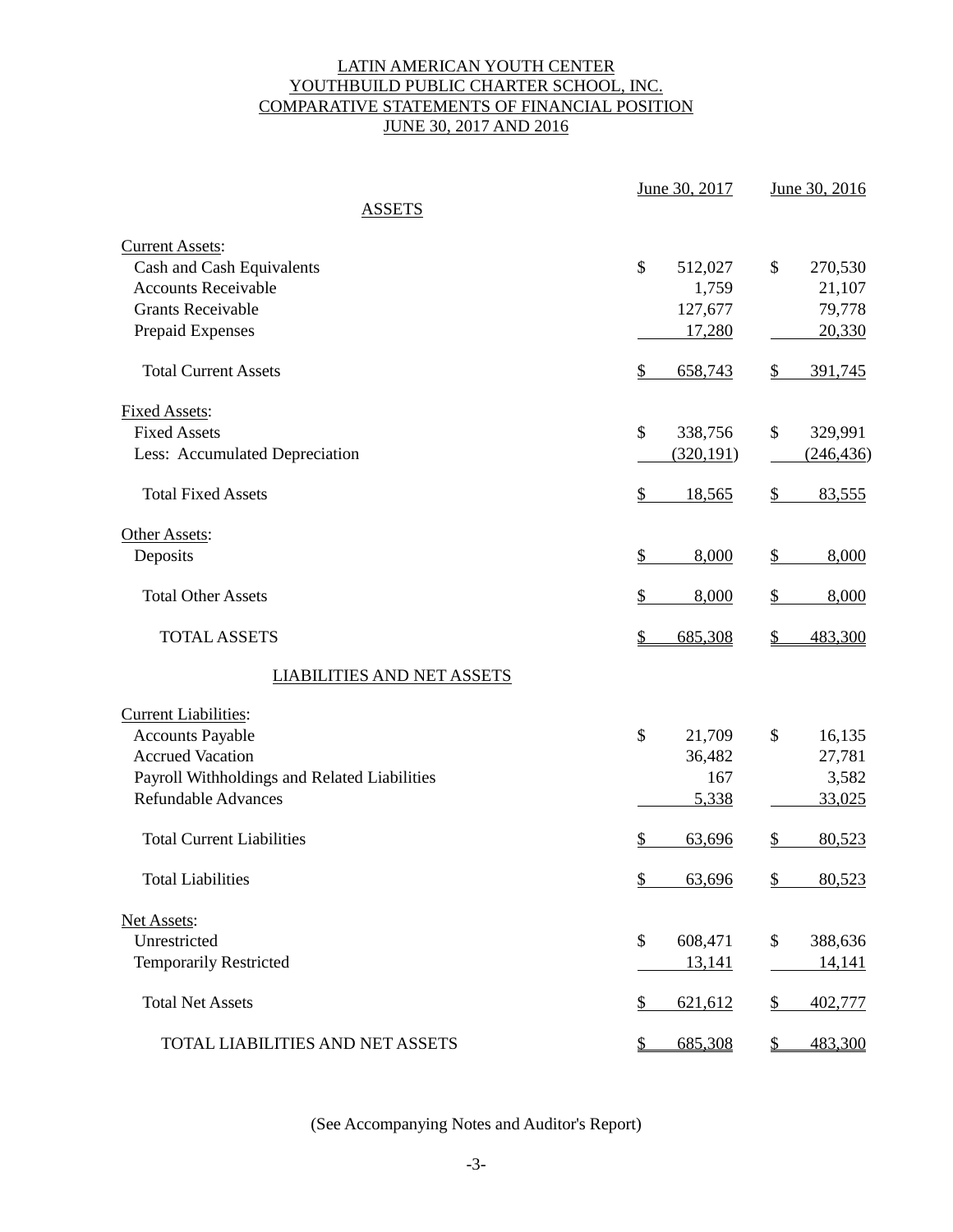## LATIN AMERICAN YOUTH CENTER YOUTHBUILD PUBLIC CHARTER SCHOOL, INC. COMPARATIVE STATEMENTS OF FINANCIAL POSITION JUNE 30, 2017 AND 2016

|                                              | June 30, 2017 | June 30, 2016           |
|----------------------------------------------|---------------|-------------------------|
| <b>ASSETS</b>                                |               |                         |
| <b>Current Assets:</b>                       |               |                         |
| Cash and Cash Equivalents                    | \$<br>512,027 | \$<br>270,530           |
| <b>Accounts Receivable</b>                   | 1,759         | 21,107                  |
| <b>Grants Receivable</b>                     | 127,677       | 79,778                  |
| Prepaid Expenses                             | 17,280        | 20,330                  |
| <b>Total Current Assets</b>                  | \$<br>658,743 | 391,745<br>\$           |
| <b>Fixed Assets:</b>                         |               |                         |
| <b>Fixed Assets</b>                          | \$<br>338,756 | \$<br>329,991           |
| Less: Accumulated Depreciation               | (320, 191)    | (246, 436)              |
| <b>Total Fixed Assets</b>                    | 18,565<br>\$  | \$<br>83,555            |
| Other Assets:                                |               |                         |
| Deposits                                     | \$<br>8,000   | $\frac{1}{2}$<br>8,000  |
| <b>Total Other Assets</b>                    | \$<br>8,000   | \$<br>8,000             |
| <b>TOTAL ASSETS</b>                          | \$<br>685,308 | 483,300                 |
| <b>LIABILITIES AND NET ASSETS</b>            |               |                         |
| <b>Current Liabilities:</b>                  |               |                         |
| <b>Accounts Payable</b>                      | \$<br>21,709  | \$<br>16,135            |
| <b>Accrued Vacation</b>                      | 36,482        | 27,781                  |
| Payroll Withholdings and Related Liabilities | 167           | 3,582                   |
| <b>Refundable Advances</b>                   | 5,338         | 33,025                  |
| <b>Total Current Liabilities</b>             | \$<br>63,696  | \$<br>80,523            |
| <b>Total Liabilities</b>                     | \$<br>63,696  | 80,523<br>$\frac{1}{2}$ |
| Net Assets:                                  |               |                         |
| Unrestricted                                 | \$<br>608,471 | 388,636<br>\$           |
| <b>Temporarily Restricted</b>                | 13,141        | 14,141                  |
| <b>Total Net Assets</b>                      | \$<br>621,612 | \$<br>402,777           |
| TOTAL LIABILITIES AND NET ASSETS             | 685,308<br>\$ | 483,300<br>S            |

(See Accompanying Notes and Auditor's Report)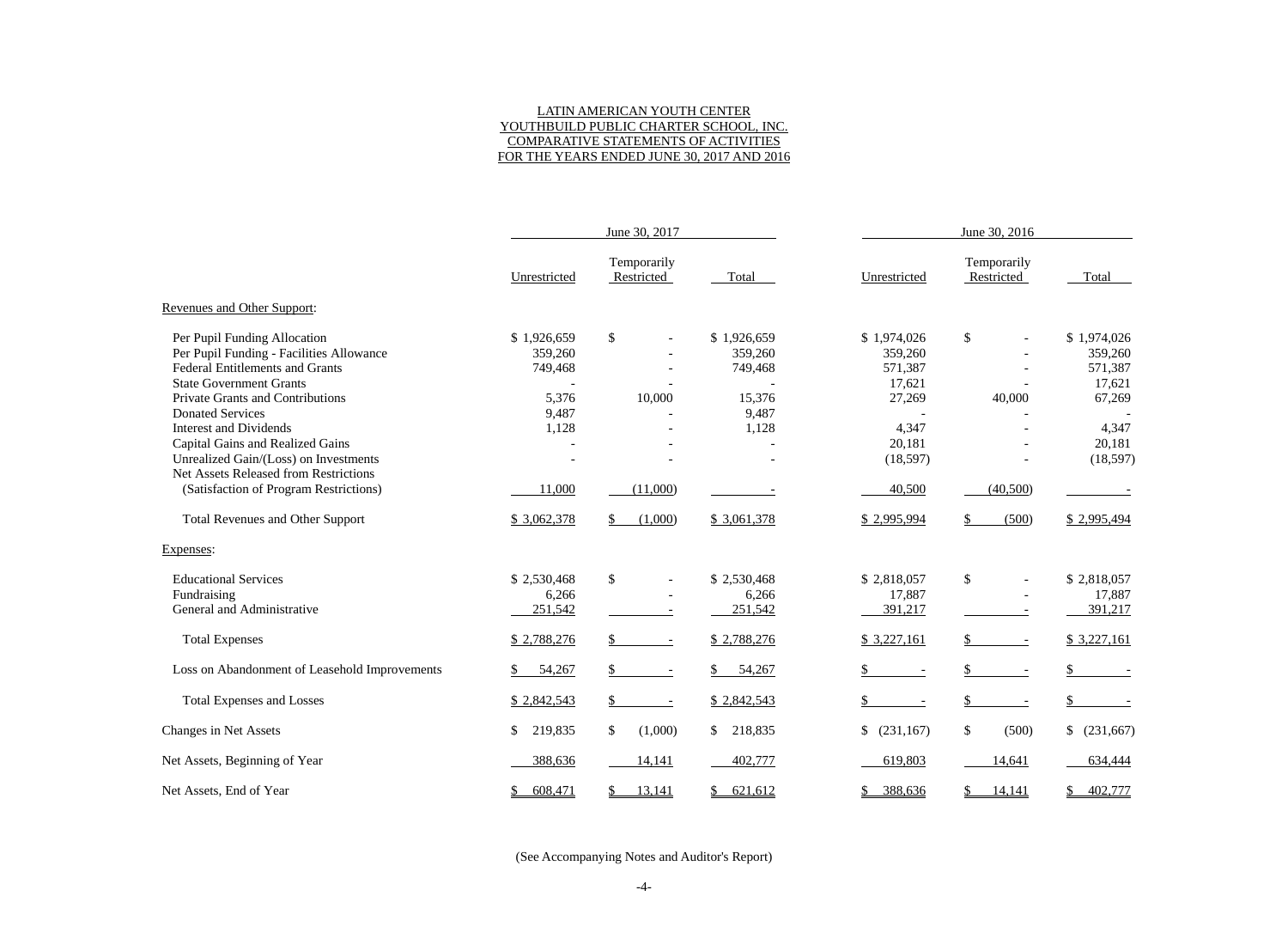## LATIN AMERICAN YOUTH CENTER YOUTHBUILD PUBLIC CHARTER SCHOOL, INC. COMPARATIVE STATEMENTS OF ACTIVITIES FOR THE YEARS ENDED JUNE 30, 2017 AND 2016

|                                               | June 30, 2017           |                           | June 30, 2016 |                          |                                |                 |
|-----------------------------------------------|-------------------------|---------------------------|---------------|--------------------------|--------------------------------|-----------------|
|                                               | Unrestricted            | Temporarily<br>Restricted | Total         | Unrestricted             | Temporarily<br>Restricted      | Total           |
| Revenues and Other Support:                   |                         |                           |               |                          |                                |                 |
| Per Pupil Funding Allocation                  | \$1,926,659             | $\mathcal{S}$             | \$1,926,659   | \$1,974,026              | \$                             | \$1,974,026     |
| Per Pupil Funding - Facilities Allowance      | 359,260                 |                           | 359,260       | 359,260                  |                                | 359,260         |
| <b>Federal Entitlements and Grants</b>        | 749,468                 |                           | 749,468       | 571,387                  |                                | 571,387         |
| <b>State Government Grants</b>                |                         |                           |               | 17,621                   |                                | 17,621          |
| Private Grants and Contributions              | 5,376                   | 10,000                    | 15,376        | 27,269                   | 40,000                         | 67,269          |
| <b>Donated Services</b>                       | 9,487                   |                           | 9,487         |                          |                                |                 |
| <b>Interest and Dividends</b>                 | 1,128                   |                           | 1,128         | 4,347                    |                                | 4,347           |
| Capital Gains and Realized Gains              |                         |                           |               | 20,181                   |                                | 20,181          |
| Unrealized Gain/(Loss) on Investments         |                         |                           |               | (18, 597)                |                                | (18, 597)       |
| Net Assets Released from Restrictions         |                         |                           |               |                          |                                |                 |
| (Satisfaction of Program Restrictions)        | 11,000                  | (11,000)                  |               | 40,500                   | (40,500)                       |                 |
| <b>Total Revenues and Other Support</b>       | \$3,062,378             | (1,000)<br>\$             | \$3,061,378   | \$2,995,994              | (500)                          | \$2,995,494     |
| Expenses:                                     |                         |                           |               |                          |                                |                 |
| <b>Educational Services</b>                   | \$2,530,468             | $\mathcal{S}$             | \$2,530,468   | \$2,818,057              | \$<br>$\overline{\phantom{a}}$ | \$2,818,057     |
| Fundraising                                   | 6,266                   |                           | 6,266         | 17,887                   |                                | 17,887          |
| General and Administrative                    | 251,542                 |                           | 251,542       | 391,217                  |                                | 391,217         |
| <b>Total Expenses</b>                         | \$2,788,276             | \$                        | \$2,788,276   | \$3,227,161              |                                | \$3,227,161     |
| Loss on Abandonment of Leasehold Improvements | 54,267                  | \$                        | 54,267<br>\$  | $\overline{\phantom{a}}$ |                                |                 |
| <b>Total Expenses and Losses</b>              | \$2,842,543             | $\frac{1}{2}$             | \$2,842,543   |                          |                                |                 |
| <b>Changes in Net Assets</b>                  | 219,835<br>\$           | (1,000)<br>\$             | 218,835<br>\$ | (231, 167)<br>\$         | \$<br>(500)                    | \$<br>(231,667) |
| Net Assets, Beginning of Year                 | 388,636                 | 14,141                    | 402,777       | 619,803                  | 14,641                         | 634,444         |
| Net Assets, End of Year                       | 608,471<br>$\mathbb{S}$ | 13,141<br>\$              | 621,612       | 388,636                  | 14,141                         | 402,777         |

(See Accompanying Notes and Auditor's Report)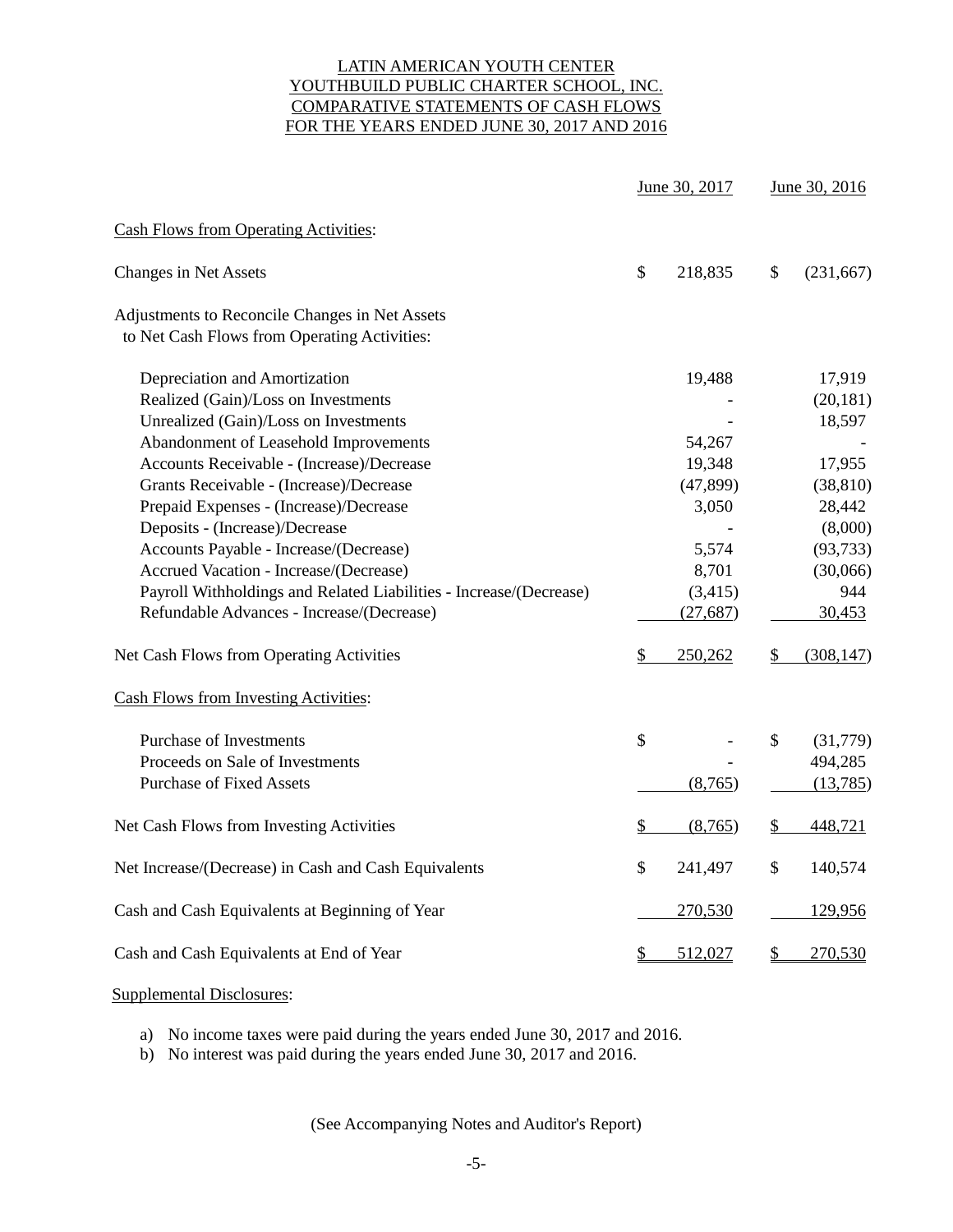## LATIN AMERICAN YOUTH CENTER YOUTHBUILD PUBLIC CHARTER SCHOOL, INC. COMPARATIVE STATEMENTS OF CASH FLOWS FOR THE YEARS ENDED JUNE 30, 2017 AND 2016

|                                                                    |                           | June 30, 2017 | June 30, 2016    |
|--------------------------------------------------------------------|---------------------------|---------------|------------------|
| <b>Cash Flows from Operating Activities:</b>                       |                           |               |                  |
| <b>Changes in Net Assets</b>                                       | $\boldsymbol{\mathsf{S}}$ | 218,835       | \$<br>(231, 667) |
| Adjustments to Reconcile Changes in Net Assets                     |                           |               |                  |
| to Net Cash Flows from Operating Activities:                       |                           |               |                  |
| Depreciation and Amortization                                      |                           | 19,488        | 17,919           |
| Realized (Gain)/Loss on Investments                                |                           |               | (20, 181)        |
| Unrealized (Gain)/Loss on Investments                              |                           |               | 18,597           |
| Abandonment of Leasehold Improvements                              |                           | 54,267        |                  |
| Accounts Receivable - (Increase)/Decrease                          |                           | 19,348        | 17,955           |
| Grants Receivable - (Increase)/Decrease                            |                           | (47, 899)     | (38, 810)        |
| Prepaid Expenses - (Increase)/Decrease                             |                           | 3,050         | 28,442           |
| Deposits - (Increase)/Decrease                                     |                           |               | (8,000)          |
| Accounts Payable - Increase/(Decrease)                             |                           | 5,574         | (93, 733)        |
| Accrued Vacation - Increase/(Decrease)                             |                           | 8,701         | (30,066)         |
| Payroll Withholdings and Related Liabilities - Increase/(Decrease) |                           | (3,415)       | 944              |
| Refundable Advances - Increase/(Decrease)                          |                           | (27, 687)     | 30,453           |
| Net Cash Flows from Operating Activities                           | \$                        | 250,262       | \$<br>(308, 147) |
| <b>Cash Flows from Investing Activities:</b>                       |                           |               |                  |
| Purchase of Investments                                            | \$                        |               | \$<br>(31,779)   |
| Proceeds on Sale of Investments                                    |                           |               | 494,285          |
| <b>Purchase of Fixed Assets</b>                                    |                           | (8,765)       | (13,785)         |
| Net Cash Flows from Investing Activities                           | \$                        | (8,765)       | \$<br>448,721    |
| Net Increase/(Decrease) in Cash and Cash Equivalents               | \$                        | 241,497       | \$<br>140,574    |
| Cash and Cash Equivalents at Beginning of Year                     |                           | 270,530       | 129,956          |
| Cash and Cash Equivalents at End of Year                           | $\frac{1}{2}$             | 512,027       | \$<br>270,530    |

## Supplemental Disclosures:

a) No income taxes were paid during the years ended June 30, 2017 and 2016.

b) No interest was paid during the years ended June 30, 2017 and 2016.

(See Accompanying Notes and Auditor's Report)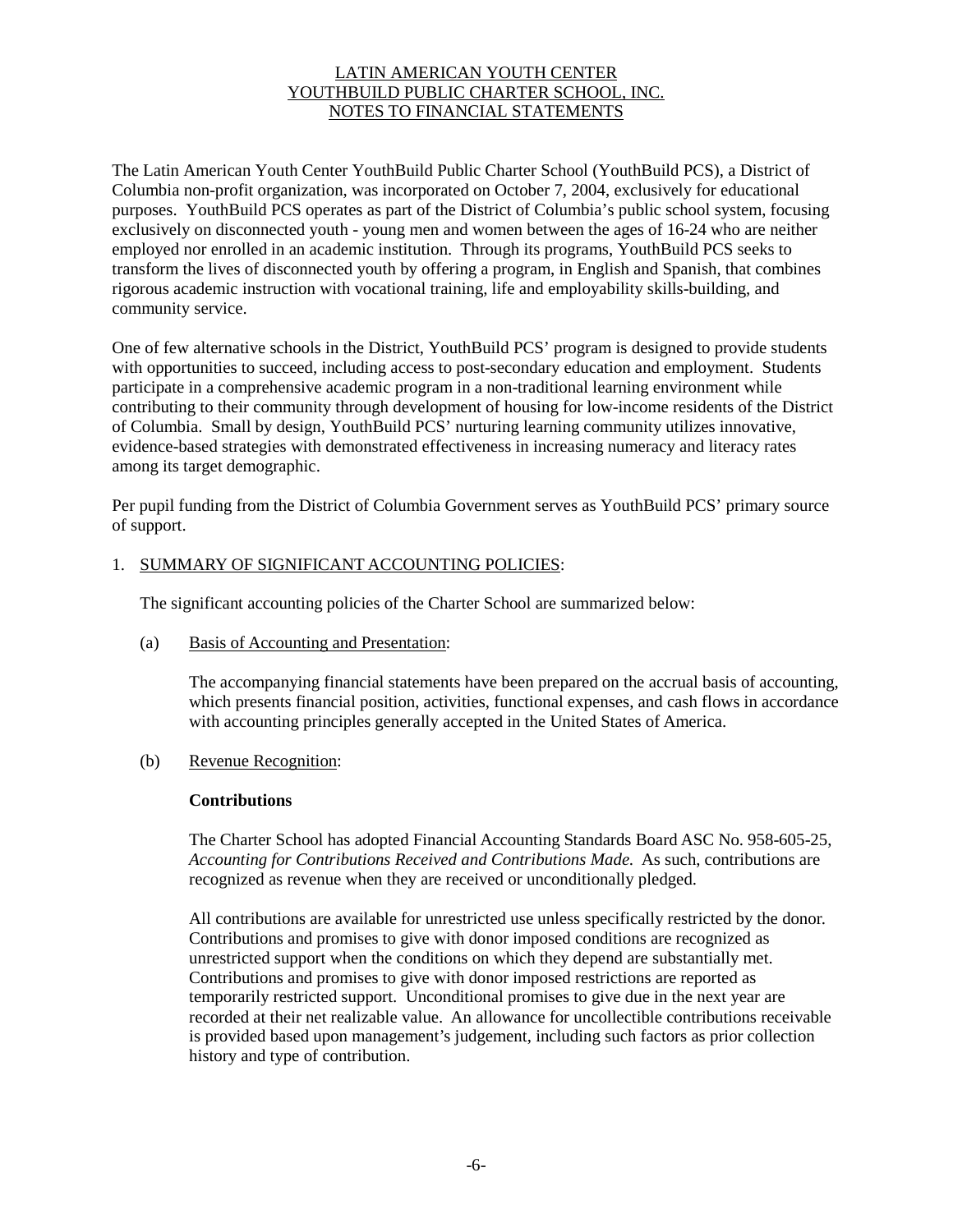The Latin American Youth Center YouthBuild Public Charter School (YouthBuild PCS), a District of Columbia non-profit organization, was incorporated on October 7, 2004, exclusively for educational purposes. YouthBuild PCS operates as part of the District of Columbia's public school system, focusing exclusively on disconnected youth - young men and women between the ages of 16-24 who are neither employed nor enrolled in an academic institution. Through its programs, YouthBuild PCS seeks to transform the lives of disconnected youth by offering a program, in English and Spanish, that combines rigorous academic instruction with vocational training, life and employability skills-building, and community service.

One of few alternative schools in the District, YouthBuild PCS' program is designed to provide students with opportunities to succeed, including access to post-secondary education and employment. Students participate in a comprehensive academic program in a non-traditional learning environment while contributing to their community through development of housing for low-income residents of the District of Columbia. Small by design, YouthBuild PCS' nurturing learning community utilizes innovative, evidence-based strategies with demonstrated effectiveness in increasing numeracy and literacy rates among its target demographic.

Per pupil funding from the District of Columbia Government serves as YouthBuild PCS' primary source of support.

#### 1. SUMMARY OF SIGNIFICANT ACCOUNTING POLICIES:

The significant accounting policies of the Charter School are summarized below:

(a) Basis of Accounting and Presentation:

The accompanying financial statements have been prepared on the accrual basis of accounting, which presents financial position, activities, functional expenses, and cash flows in accordance with accounting principles generally accepted in the United States of America.

(b) Revenue Recognition:

#### **Contributions**

The Charter School has adopted Financial Accounting Standards Board ASC No. 958-605-25, *Accounting for Contributions Received and Contributions Made.* As such, contributions are recognized as revenue when they are received or unconditionally pledged.

All contributions are available for unrestricted use unless specifically restricted by the donor. Contributions and promises to give with donor imposed conditions are recognized as unrestricted support when the conditions on which they depend are substantially met. Contributions and promises to give with donor imposed restrictions are reported as temporarily restricted support. Unconditional promises to give due in the next year are recorded at their net realizable value. An allowance for uncollectible contributions receivable is provided based upon management's judgement, including such factors as prior collection history and type of contribution.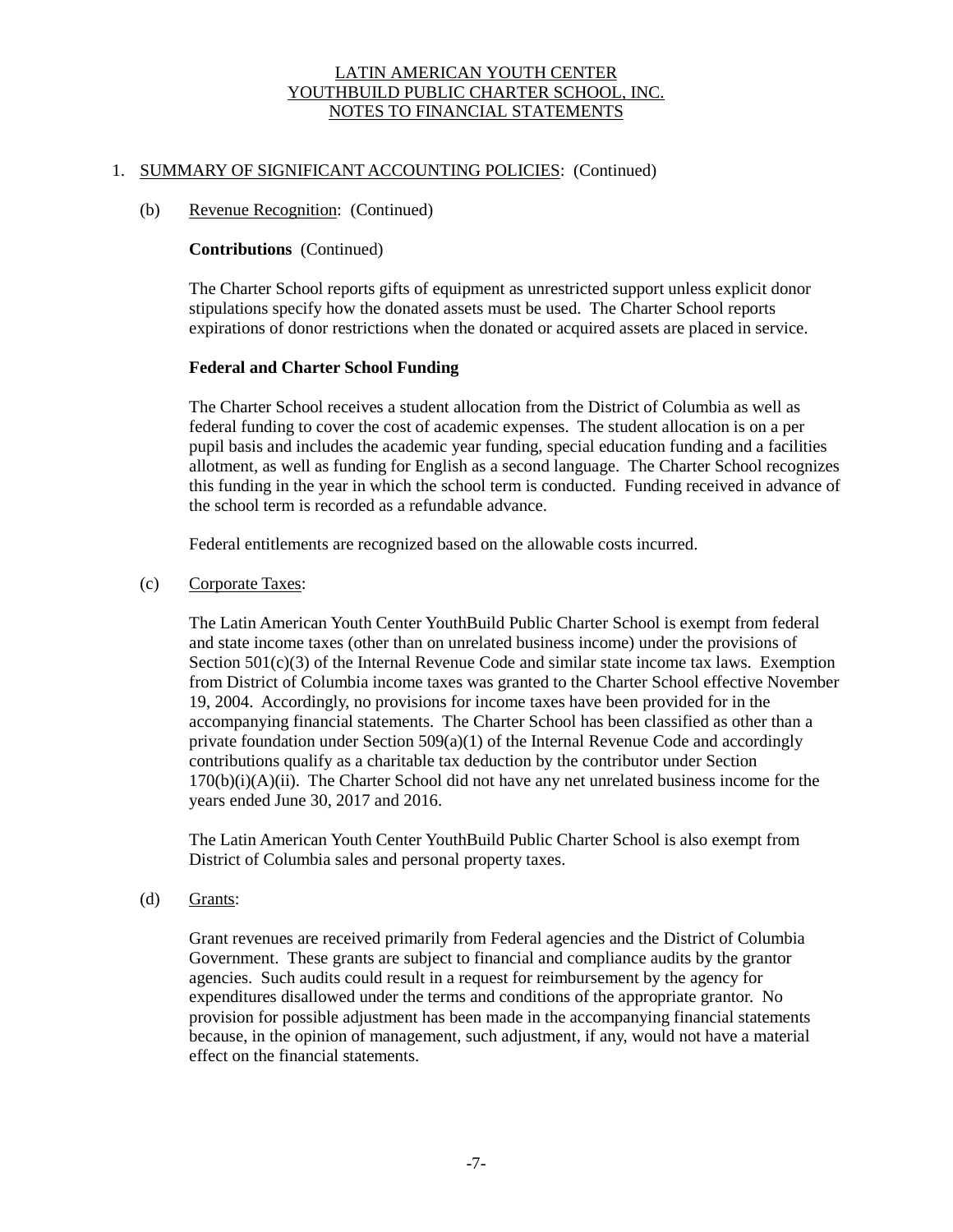#### 1. SUMMARY OF SIGNIFICANT ACCOUNTING POLICIES: (Continued)

#### (b) Revenue Recognition: (Continued)

#### **Contributions** (Continued)

The Charter School reports gifts of equipment as unrestricted support unless explicit donor stipulations specify how the donated assets must be used. The Charter School reports expirations of donor restrictions when the donated or acquired assets are placed in service.

#### **Federal and Charter School Funding**

The Charter School receives a student allocation from the District of Columbia as well as federal funding to cover the cost of academic expenses. The student allocation is on a per pupil basis and includes the academic year funding, special education funding and a facilities allotment, as well as funding for English as a second language. The Charter School recognizes this funding in the year in which the school term is conducted. Funding received in advance of the school term is recorded as a refundable advance.

Federal entitlements are recognized based on the allowable costs incurred.

#### (c) Corporate Taxes:

The Latin American Youth Center YouthBuild Public Charter School is exempt from federal and state income taxes (other than on unrelated business income) under the provisions of Section  $501(c)(3)$  of the Internal Revenue Code and similar state income tax laws. Exemption from District of Columbia income taxes was granted to the Charter School effective November 19, 2004. Accordingly, no provisions for income taxes have been provided for in the accompanying financial statements. The Charter School has been classified as other than a private foundation under Section 509(a)(1) of the Internal Revenue Code and accordingly contributions qualify as a charitable tax deduction by the contributor under Section  $170(b)(i)(A)(ii)$ . The Charter School did not have any net unrelated business income for the years ended June 30, 2017 and 2016.

The Latin American Youth Center YouthBuild Public Charter School is also exempt from District of Columbia sales and personal property taxes.

#### (d) Grants:

Grant revenues are received primarily from Federal agencies and the District of Columbia Government. These grants are subject to financial and compliance audits by the grantor agencies. Such audits could result in a request for reimbursement by the agency for expenditures disallowed under the terms and conditions of the appropriate grantor. No provision for possible adjustment has been made in the accompanying financial statements because, in the opinion of management, such adjustment, if any, would not have a material effect on the financial statements.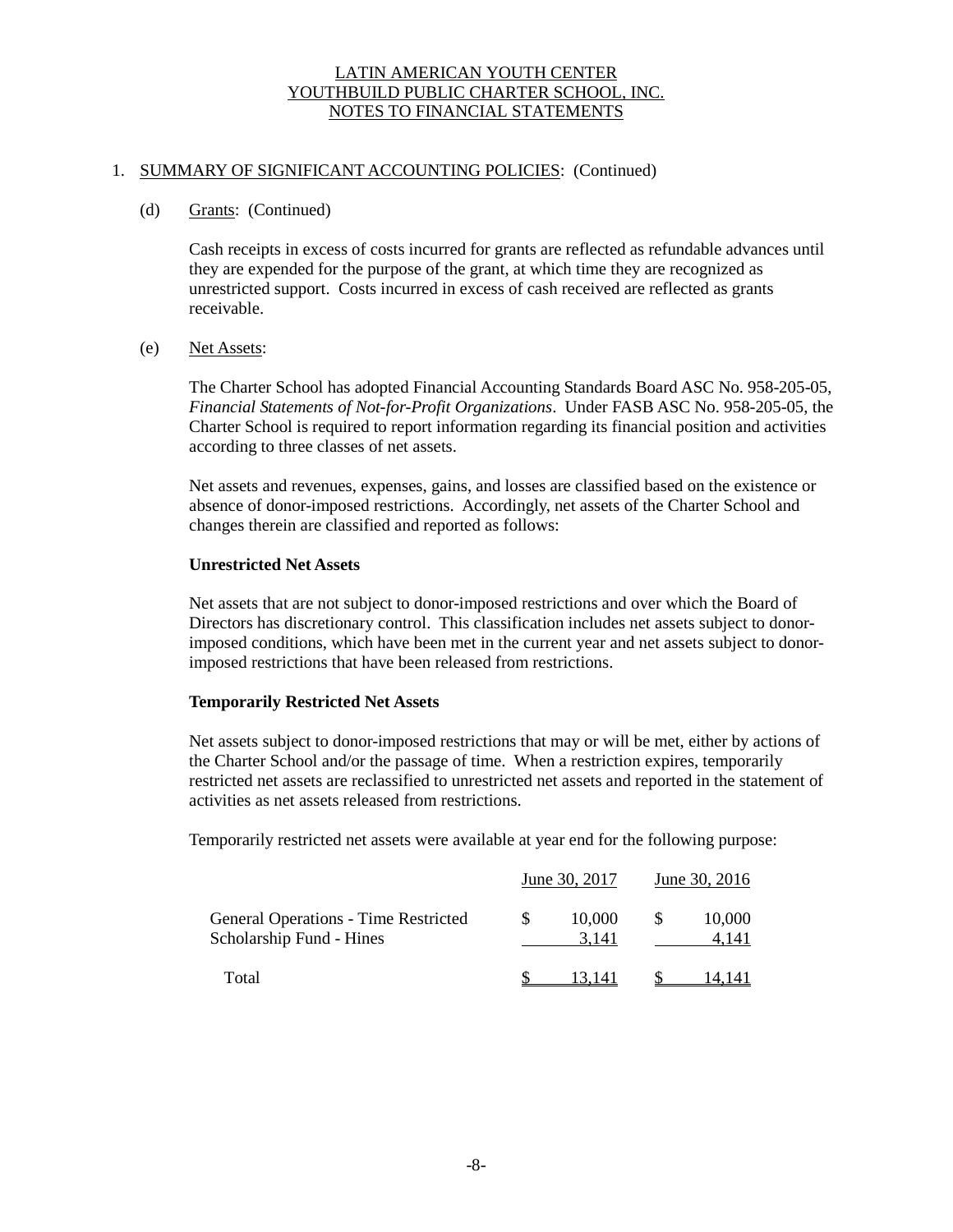#### 1. SUMMARY OF SIGNIFICANT ACCOUNTING POLICIES: (Continued)

#### (d) Grants: (Continued)

Cash receipts in excess of costs incurred for grants are reflected as refundable advances until they are expended for the purpose of the grant, at which time they are recognized as unrestricted support. Costs incurred in excess of cash received are reflected as grants receivable.

#### (e) Net Assets:

The Charter School has adopted Financial Accounting Standards Board ASC No. 958-205-05, *Financial Statements of Not-for-Profit Organizations*. Under FASB ASC No. 958-205-05, the Charter School is required to report information regarding its financial position and activities according to three classes of net assets.

Net assets and revenues, expenses, gains, and losses are classified based on the existence or absence of donor-imposed restrictions. Accordingly, net assets of the Charter School and changes therein are classified and reported as follows:

#### **Unrestricted Net Assets**

Net assets that are not subject to donor-imposed restrictions and over which the Board of Directors has discretionary control. This classification includes net assets subject to donorimposed conditions, which have been met in the current year and net assets subject to donorimposed restrictions that have been released from restrictions.

#### **Temporarily Restricted Net Assets**

Net assets subject to donor-imposed restrictions that may or will be met, either by actions of the Charter School and/or the passage of time. When a restriction expires, temporarily restricted net assets are reclassified to unrestricted net assets and reported in the statement of activities as net assets released from restrictions.

Temporarily restricted net assets were available at year end for the following purpose:

|                                                                  | June 30, 2017   |  | June 30, 2016   |  |
|------------------------------------------------------------------|-----------------|--|-----------------|--|
| General Operations - Time Restricted<br>Scholarship Fund - Hines | 10,000<br>3.141 |  | 10,000<br>4.141 |  |
| Total                                                            | 13.141          |  | 14.14           |  |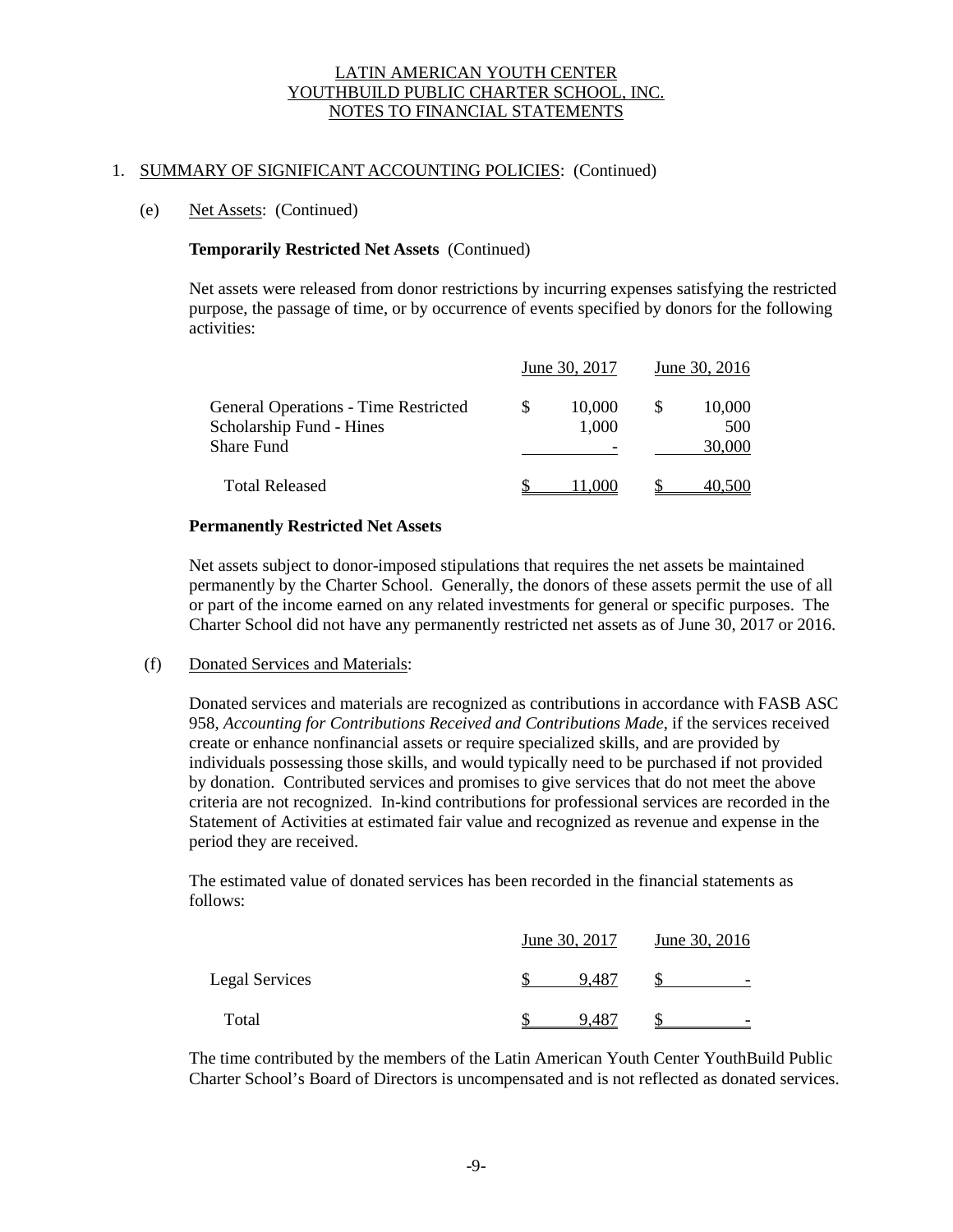#### 1. SUMMARY OF SIGNIFICANT ACCOUNTING POLICIES: (Continued)

#### (e) Net Assets: (Continued)

#### **Temporarily Restricted Net Assets** (Continued)

Net assets were released from donor restrictions by incurring expenses satisfying the restricted purpose, the passage of time, or by occurrence of events specified by donors for the following activities:

|                                                                                |  | June 30, 2017   | June 30, 2016 |                         |
|--------------------------------------------------------------------------------|--|-----------------|---------------|-------------------------|
| General Operations - Time Restricted<br>Scholarship Fund - Hines<br>Share Fund |  | 10,000<br>1,000 | <b>S</b>      | 10,000<br>500<br>30,000 |
| <b>Total Released</b>                                                          |  | 11.000          |               |                         |

#### **Permanently Restricted Net Assets**

Net assets subject to donor-imposed stipulations that requires the net assets be maintained permanently by the Charter School. Generally, the donors of these assets permit the use of all or part of the income earned on any related investments for general or specific purposes. The Charter School did not have any permanently restricted net assets as of June 30, 2017 or 2016.

#### (f) Donated Services and Materials:

Donated services and materials are recognized as contributions in accordance with FASB ASC 958, *Accounting for Contributions Received and Contributions Made*, if the services received create or enhance nonfinancial assets or require specialized skills, and are provided by individuals possessing those skills, and would typically need to be purchased if not provided by donation. Contributed services and promises to give services that do not meet the above criteria are not recognized. In-kind contributions for professional services are recorded in the Statement of Activities at estimated fair value and recognized as revenue and expense in the period they are received.

The estimated value of donated services has been recorded in the financial statements as follows:

|                       | June 30, 2017 | June 30, 2016 |  |
|-----------------------|---------------|---------------|--|
| <b>Legal Services</b> | 9 487         | -             |  |
| Total                 | 9.487         | -             |  |

The time contributed by the members of the Latin American Youth Center YouthBuild Public Charter School's Board of Directors is uncompensated and is not reflected as donated services.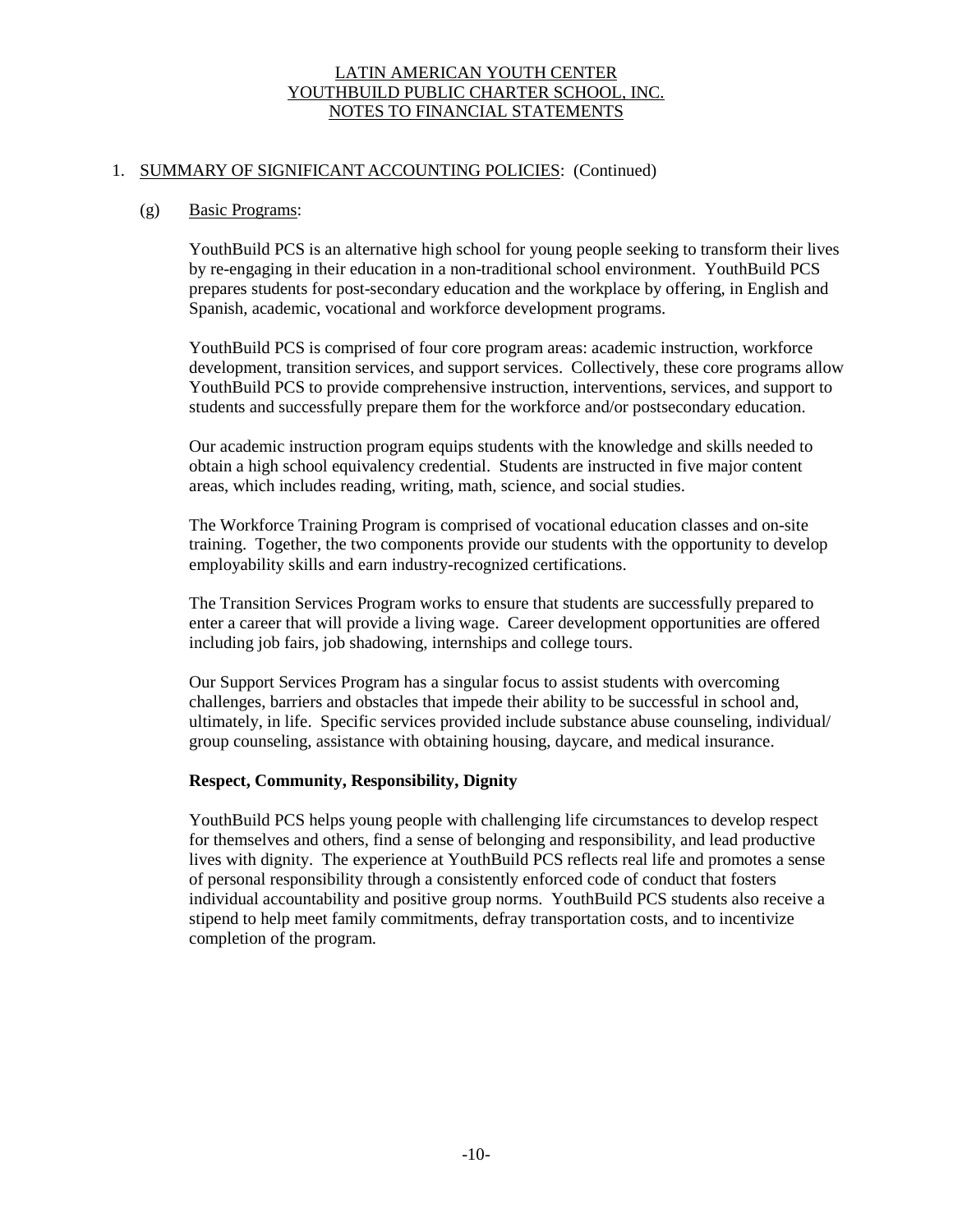## 1. SUMMARY OF SIGNIFICANT ACCOUNTING POLICIES: (Continued)

#### (g) Basic Programs:

YouthBuild PCS is an alternative high school for young people seeking to transform their lives by re-engaging in their education in a non-traditional school environment. YouthBuild PCS prepares students for post-secondary education and the workplace by offering, in English and Spanish, academic, vocational and workforce development programs.

YouthBuild PCS is comprised of four core program areas: academic instruction, workforce development, transition services, and support services. Collectively, these core programs allow YouthBuild PCS to provide comprehensive instruction, interventions, services, and support to students and successfully prepare them for the workforce and/or postsecondary education.

Our academic instruction program equips students with the knowledge and skills needed to obtain a high school equivalency credential. Students are instructed in five major content areas, which includes reading, writing, math, science, and social studies.

The Workforce Training Program is comprised of vocational education classes and on-site training. Together, the two components provide our students with the opportunity to develop employability skills and earn industry-recognized certifications.

The Transition Services Program works to ensure that students are successfully prepared to enter a career that will provide a living wage. Career development opportunities are offered including job fairs, job shadowing, internships and college tours.

Our Support Services Program has a singular focus to assist students with overcoming challenges, barriers and obstacles that impede their ability to be successful in school and, ultimately, in life. Specific services provided include substance abuse counseling, individual/ group counseling, assistance with obtaining housing, daycare, and medical insurance.

## **Respect, Community, Responsibility, Dignity**

YouthBuild PCS helps young people with challenging life circumstances to develop respect for themselves and others, find a sense of belonging and responsibility, and lead productive lives with dignity. The experience at YouthBuild PCS reflects real life and promotes a sense of personal responsibility through a consistently enforced code of conduct that fosters individual accountability and positive group norms. YouthBuild PCS students also receive a stipend to help meet family commitments, defray transportation costs, and to incentivize completion of the program.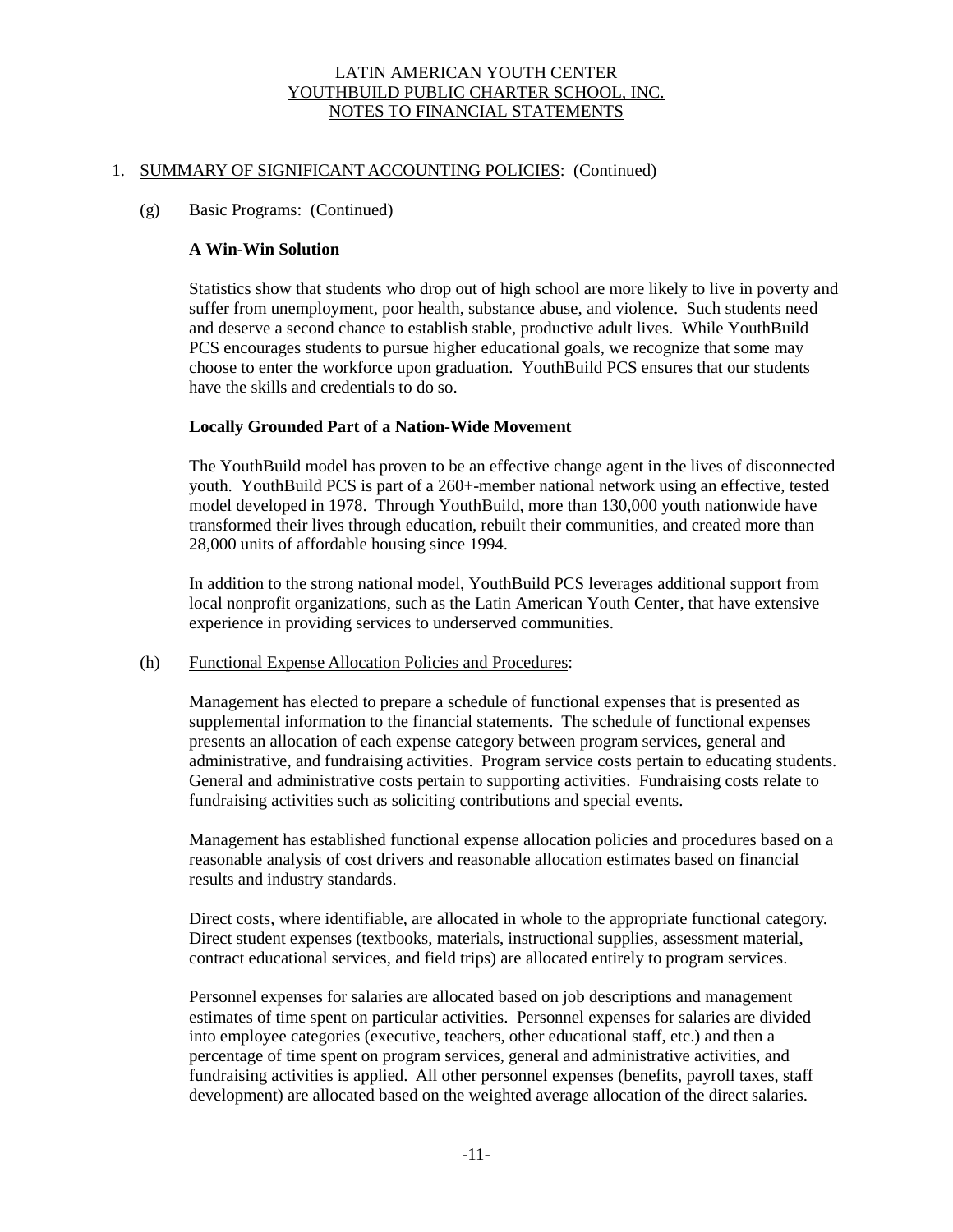## 1. SUMMARY OF SIGNIFICANT ACCOUNTING POLICIES: (Continued)

#### (g) Basic Programs: (Continued)

#### **A Win-Win Solution**

Statistics show that students who drop out of high school are more likely to live in poverty and suffer from unemployment, poor health, substance abuse, and violence. Such students need and deserve a second chance to establish stable, productive adult lives. While YouthBuild PCS encourages students to pursue higher educational goals, we recognize that some may choose to enter the workforce upon graduation. YouthBuild PCS ensures that our students have the skills and credentials to do so.

#### **Locally Grounded Part of a Nation-Wide Movement**

The YouthBuild model has proven to be an effective change agent in the lives of disconnected youth. YouthBuild PCS is part of a 260+-member national network using an effective, tested model developed in 1978. Through YouthBuild, more than 130,000 youth nationwide have transformed their lives through education, rebuilt their communities, and created more than 28,000 units of affordable housing since 1994.

In addition to the strong national model, YouthBuild PCS leverages additional support from local nonprofit organizations, such as the Latin American Youth Center, that have extensive experience in providing services to underserved communities.

#### (h) Functional Expense Allocation Policies and Procedures:

Management has elected to prepare a schedule of functional expenses that is presented as supplemental information to the financial statements. The schedule of functional expenses presents an allocation of each expense category between program services, general and administrative, and fundraising activities. Program service costs pertain to educating students. General and administrative costs pertain to supporting activities. Fundraising costs relate to fundraising activities such as soliciting contributions and special events.

Management has established functional expense allocation policies and procedures based on a reasonable analysis of cost drivers and reasonable allocation estimates based on financial results and industry standards.

Direct costs, where identifiable, are allocated in whole to the appropriate functional category. Direct student expenses (textbooks, materials, instructional supplies, assessment material, contract educational services, and field trips) are allocated entirely to program services.

Personnel expenses for salaries are allocated based on job descriptions and management estimates of time spent on particular activities. Personnel expenses for salaries are divided into employee categories (executive, teachers, other educational staff, etc.) and then a percentage of time spent on program services, general and administrative activities, and fundraising activities is applied. All other personnel expenses (benefits, payroll taxes, staff development) are allocated based on the weighted average allocation of the direct salaries.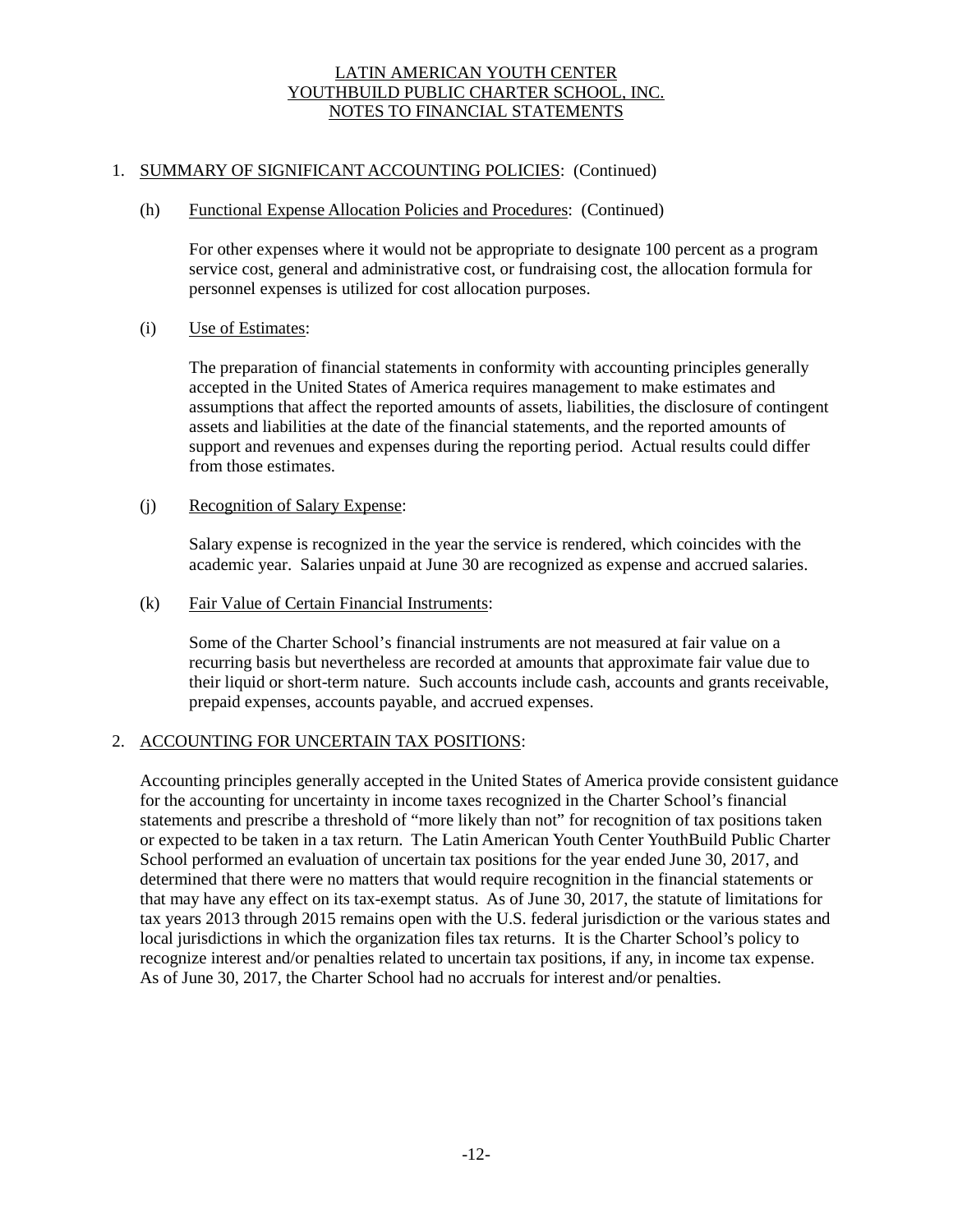## 1. SUMMARY OF SIGNIFICANT ACCOUNTING POLICIES: (Continued)

#### (h) Functional Expense Allocation Policies and Procedures: (Continued)

For other expenses where it would not be appropriate to designate 100 percent as a program service cost, general and administrative cost, or fundraising cost, the allocation formula for personnel expenses is utilized for cost allocation purposes.

#### (i) Use of Estimates:

The preparation of financial statements in conformity with accounting principles generally accepted in the United States of America requires management to make estimates and assumptions that affect the reported amounts of assets, liabilities, the disclosure of contingent assets and liabilities at the date of the financial statements, and the reported amounts of support and revenues and expenses during the reporting period. Actual results could differ from those estimates.

### (j) Recognition of Salary Expense:

Salary expense is recognized in the year the service is rendered, which coincides with the academic year. Salaries unpaid at June 30 are recognized as expense and accrued salaries.

#### (k) Fair Value of Certain Financial Instruments:

Some of the Charter School's financial instruments are not measured at fair value on a recurring basis but nevertheless are recorded at amounts that approximate fair value due to their liquid or short-term nature. Such accounts include cash, accounts and grants receivable, prepaid expenses, accounts payable, and accrued expenses.

## 2. ACCOUNTING FOR UNCERTAIN TAX POSITIONS:

Accounting principles generally accepted in the United States of America provide consistent guidance for the accounting for uncertainty in income taxes recognized in the Charter School's financial statements and prescribe a threshold of "more likely than not" for recognition of tax positions taken or expected to be taken in a tax return. The Latin American Youth Center YouthBuild Public Charter School performed an evaluation of uncertain tax positions for the year ended June 30, 2017, and determined that there were no matters that would require recognition in the financial statements or that may have any effect on its tax-exempt status. As of June 30, 2017, the statute of limitations for tax years 2013 through 2015 remains open with the U.S. federal jurisdiction or the various states and local jurisdictions in which the organization files tax returns. It is the Charter School's policy to recognize interest and/or penalties related to uncertain tax positions, if any, in income tax expense. As of June 30, 2017, the Charter School had no accruals for interest and/or penalties.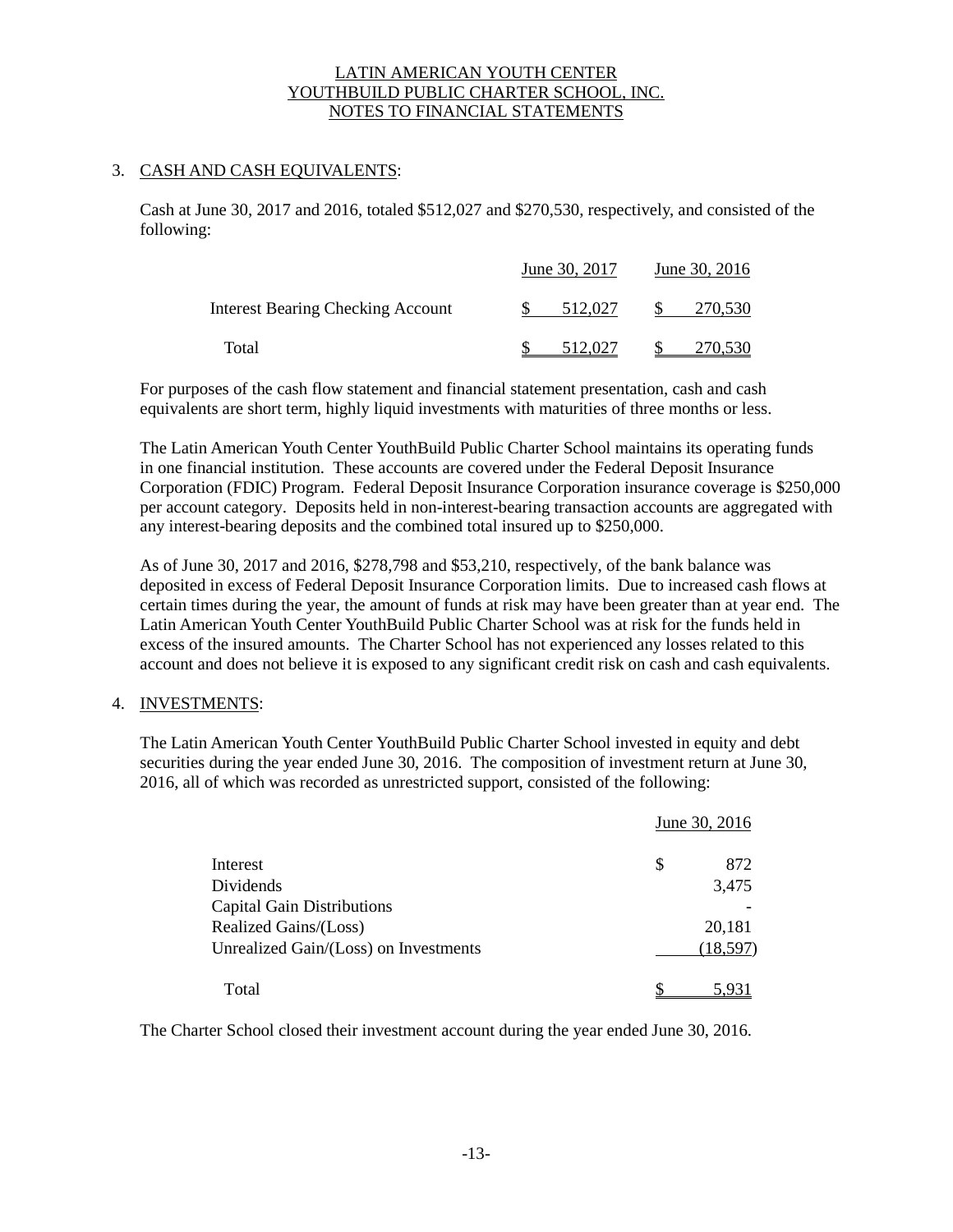## 3. CASH AND CASH EQUIVALENTS:

Cash at June 30, 2017 and 2016, totaled \$512,027 and \$270,530, respectively, and consisted of the following:

| June 30, 2017                            |         | June 30, 2016 |
|------------------------------------------|---------|---------------|
| <b>Interest Bearing Checking Account</b> | 512,027 | 270.530       |
| Total                                    | 512,027 | 270,530       |

For purposes of the cash flow statement and financial statement presentation, cash and cash equivalents are short term, highly liquid investments with maturities of three months or less.

The Latin American Youth Center YouthBuild Public Charter School maintains its operating funds in one financial institution. These accounts are covered under the Federal Deposit Insurance Corporation (FDIC) Program. Federal Deposit Insurance Corporation insurance coverage is \$250,000 per account category. Deposits held in non-interest-bearing transaction accounts are aggregated with any interest-bearing deposits and the combined total insured up to \$250,000.

As of June 30, 2017 and 2016, \$278,798 and \$53,210, respectively, of the bank balance was deposited in excess of Federal Deposit Insurance Corporation limits. Due to increased cash flows at certain times during the year, the amount of funds at risk may have been greater than at year end. The Latin American Youth Center YouthBuild Public Charter School was at risk for the funds held in excess of the insured amounts. The Charter School has not experienced any losses related to this account and does not believe it is exposed to any significant credit risk on cash and cash equivalents.

## 4. INVESTMENTS:

The Latin American Youth Center YouthBuild Public Charter School invested in equity and debt securities during the year ended June 30, 2016. The composition of investment return at June 30, 2016, all of which was recorded as unrestricted support, consisted of the following:

|                                       |   | June 30, 2016 |
|---------------------------------------|---|---------------|
| Interest                              | S | 872           |
| Dividends                             |   | 3,475         |
| <b>Capital Gain Distributions</b>     |   |               |
| Realized Gains/(Loss)                 |   | 20,181        |
| Unrealized Gain/(Loss) on Investments |   | (18, 597)     |
| Total                                 |   | 5.931         |

The Charter School closed their investment account during the year ended June 30, 2016.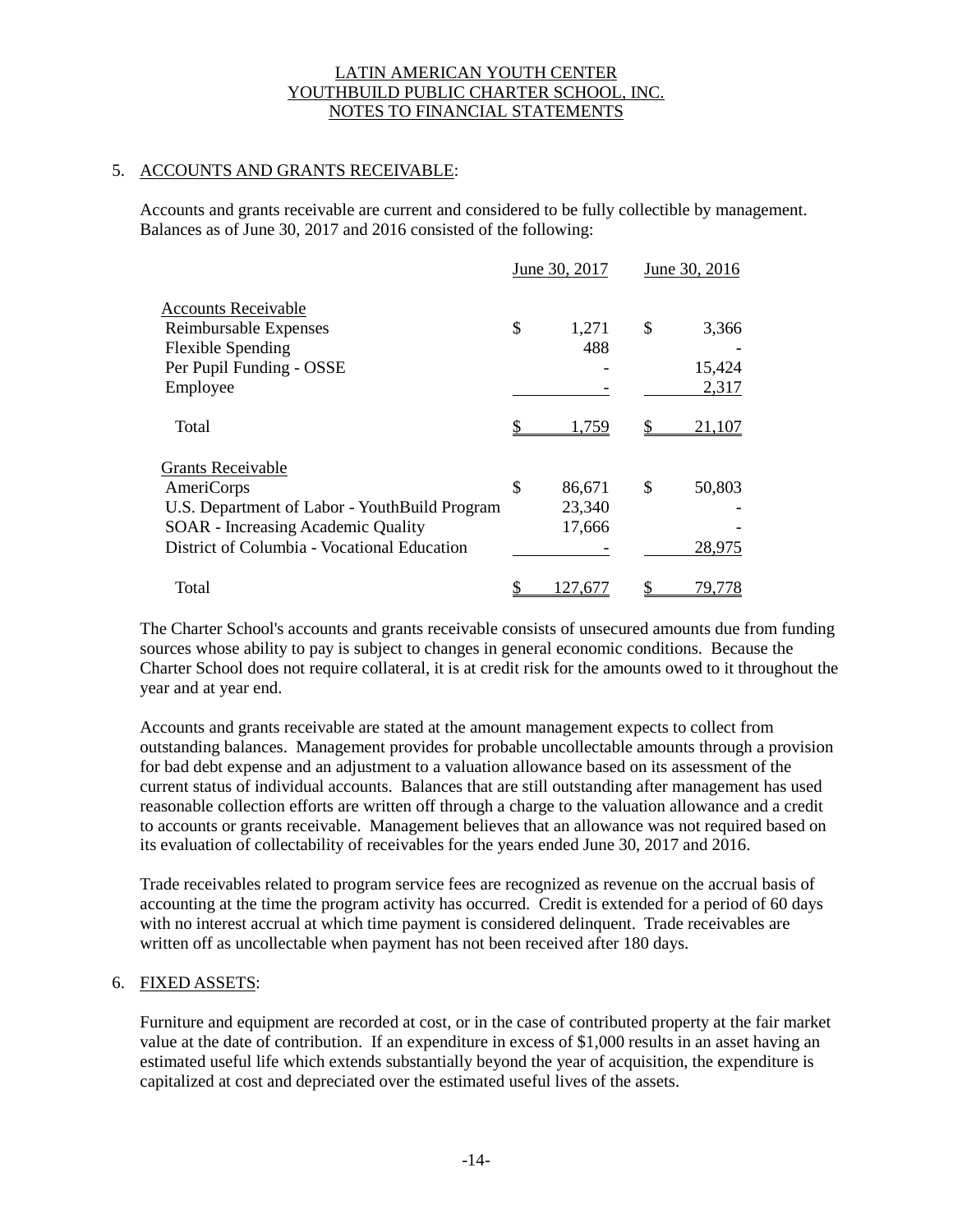## 5. ACCOUNTS AND GRANTS RECEIVABLE:

Accounts and grants receivable are current and considered to be fully collectible by management. Balances as of June 30, 2017 and 2016 consisted of the following:

|                                               | June 30, 2017 | June 30, 2016 |
|-----------------------------------------------|---------------|---------------|
| <b>Accounts Receivable</b>                    |               |               |
| Reimbursable Expenses                         | \$<br>1,271   | \$<br>3,366   |
| <b>Flexible Spending</b>                      | 488           |               |
| Per Pupil Funding - OSSE                      |               | 15,424        |
| Employee                                      |               | 2,317         |
| Total                                         | 1,759         | 21,107        |
| <b>Grants Receivable</b>                      |               |               |
| <b>AmeriCorps</b>                             | \$<br>86,671  | \$<br>50,803  |
| U.S. Department of Labor - YouthBuild Program | 23,340        |               |
| SOAR - Increasing Academic Quality            | 17,666        |               |
| District of Columbia - Vocational Education   |               | 28,975        |
| Total                                         | 127.677       | 79,778        |

The Charter School's accounts and grants receivable consists of unsecured amounts due from funding sources whose ability to pay is subject to changes in general economic conditions. Because the Charter School does not require collateral, it is at credit risk for the amounts owed to it throughout the year and at year end.

Accounts and grants receivable are stated at the amount management expects to collect from outstanding balances. Management provides for probable uncollectable amounts through a provision for bad debt expense and an adjustment to a valuation allowance based on its assessment of the current status of individual accounts. Balances that are still outstanding after management has used reasonable collection efforts are written off through a charge to the valuation allowance and a credit to accounts or grants receivable. Management believes that an allowance was not required based on its evaluation of collectability of receivables for the years ended June 30, 2017 and 2016.

Trade receivables related to program service fees are recognized as revenue on the accrual basis of accounting at the time the program activity has occurred. Credit is extended for a period of 60 days with no interest accrual at which time payment is considered delinquent. Trade receivables are written off as uncollectable when payment has not been received after 180 days.

## 6. FIXED ASSETS:

Furniture and equipment are recorded at cost, or in the case of contributed property at the fair market value at the date of contribution. If an expenditure in excess of \$1,000 results in an asset having an estimated useful life which extends substantially beyond the year of acquisition, the expenditure is capitalized at cost and depreciated over the estimated useful lives of the assets.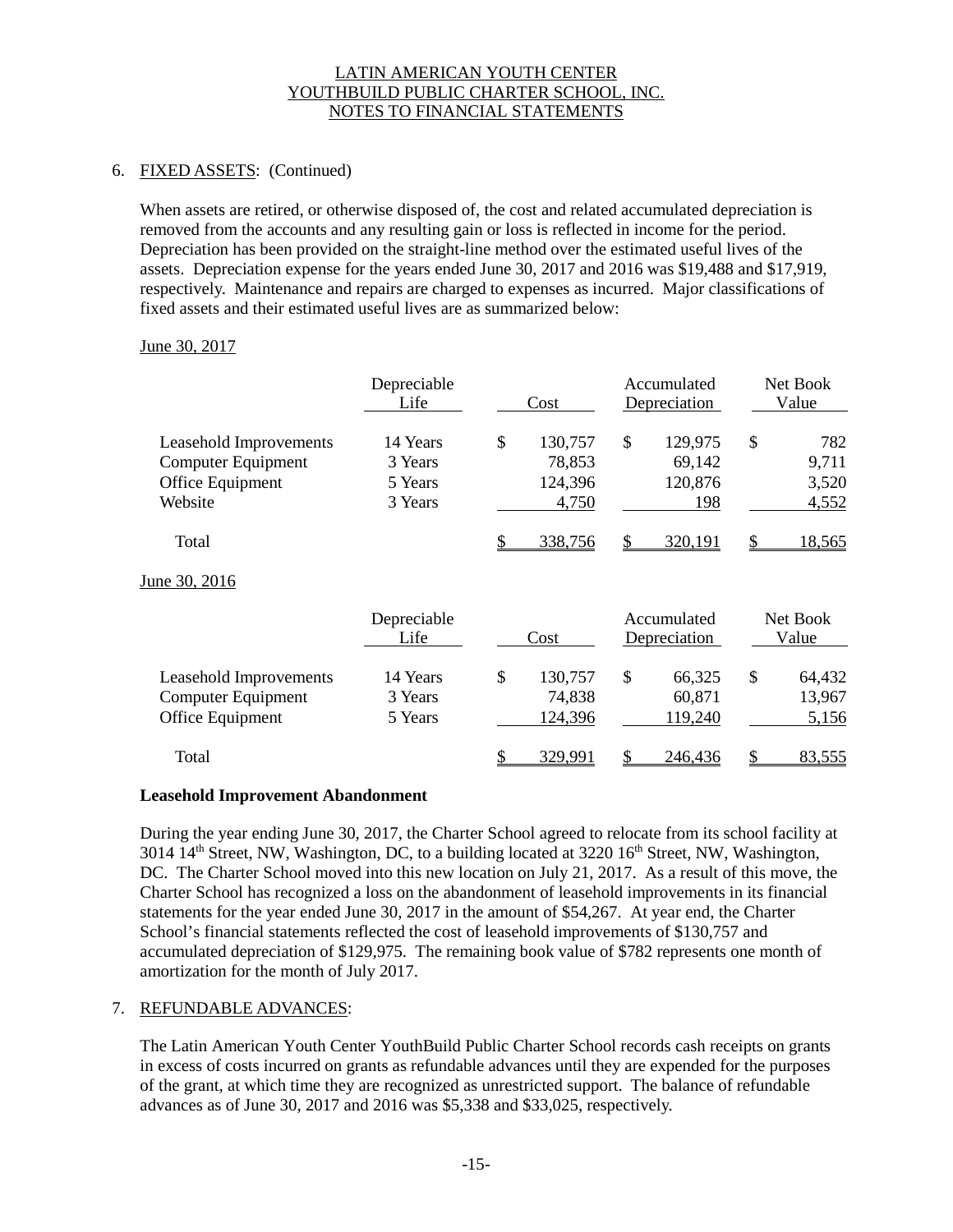## 6. FIXED ASSETS: (Continued)

When assets are retired, or otherwise disposed of, the cost and related accumulated depreciation is removed from the accounts and any resulting gain or loss is reflected in income for the period. Depreciation has been provided on the straight-line method over the estimated useful lives of the assets. Depreciation expense for the years ended June 30, 2017 and 2016 was \$19,488 and \$17,919, respectively. Maintenance and repairs are charged to expenses as incurred. Major classifications of fixed assets and their estimated useful lives are as summarized below:

## June 30, 2017

|                                                                         | Depreciable<br>Life            | Cost                               | Accumulated<br>Depreciation        | Net Book<br>Value               |
|-------------------------------------------------------------------------|--------------------------------|------------------------------------|------------------------------------|---------------------------------|
| Leasehold Improvements<br>Computer Equipment<br>Office Equipment        | 14 Years<br>3 Years<br>5 Years | \$<br>130,757<br>78,853<br>124,396 | \$<br>129,975<br>69,142<br>120,876 | \$<br>782<br>9,711<br>3,520     |
| Website                                                                 | 3 Years                        | 4,750                              | 198                                | 4,552                           |
| Total                                                                   |                                | 338,756                            | 320,191                            | 18,565<br>S                     |
| June 30, 2016                                                           |                                |                                    |                                    |                                 |
|                                                                         | Depreciable<br>Life            | Cost                               | Accumulated<br>Depreciation        | Net Book<br>Value               |
| Leasehold Improvements<br><b>Computer Equipment</b><br>Office Equipment | 14 Years<br>3 Years<br>5 Years | \$<br>130,757<br>74,838<br>124,396 | \$<br>66,325<br>60,871<br>119,240  | \$<br>64,432<br>13,967<br>5,156 |
| Total                                                                   |                                | 329,991                            | 246,436                            | 83,555<br>\$                    |

#### **Leasehold Improvement Abandonment**

During the year ending June 30, 2017, the Charter School agreed to relocate from its school facility at  $3014\,14<sup>th</sup>$  Street, NW, Washington, DC, to a building located at 3220  $16<sup>th</sup>$  Street, NW, Washington, DC. The Charter School moved into this new location on July 21, 2017. As a result of this move, the Charter School has recognized a loss on the abandonment of leasehold improvements in its financial statements for the year ended June 30, 2017 in the amount of \$54,267. At year end, the Charter School's financial statements reflected the cost of leasehold improvements of \$130,757 and accumulated depreciation of \$129,975. The remaining book value of \$782 represents one month of amortization for the month of July 2017.

## 7. REFUNDABLE ADVANCES:

The Latin American Youth Center YouthBuild Public Charter School records cash receipts on grants in excess of costs incurred on grants as refundable advances until they are expended for the purposes of the grant, at which time they are recognized as unrestricted support. The balance of refundable advances as of June 30, 2017 and 2016 was \$5,338 and \$33,025, respectively.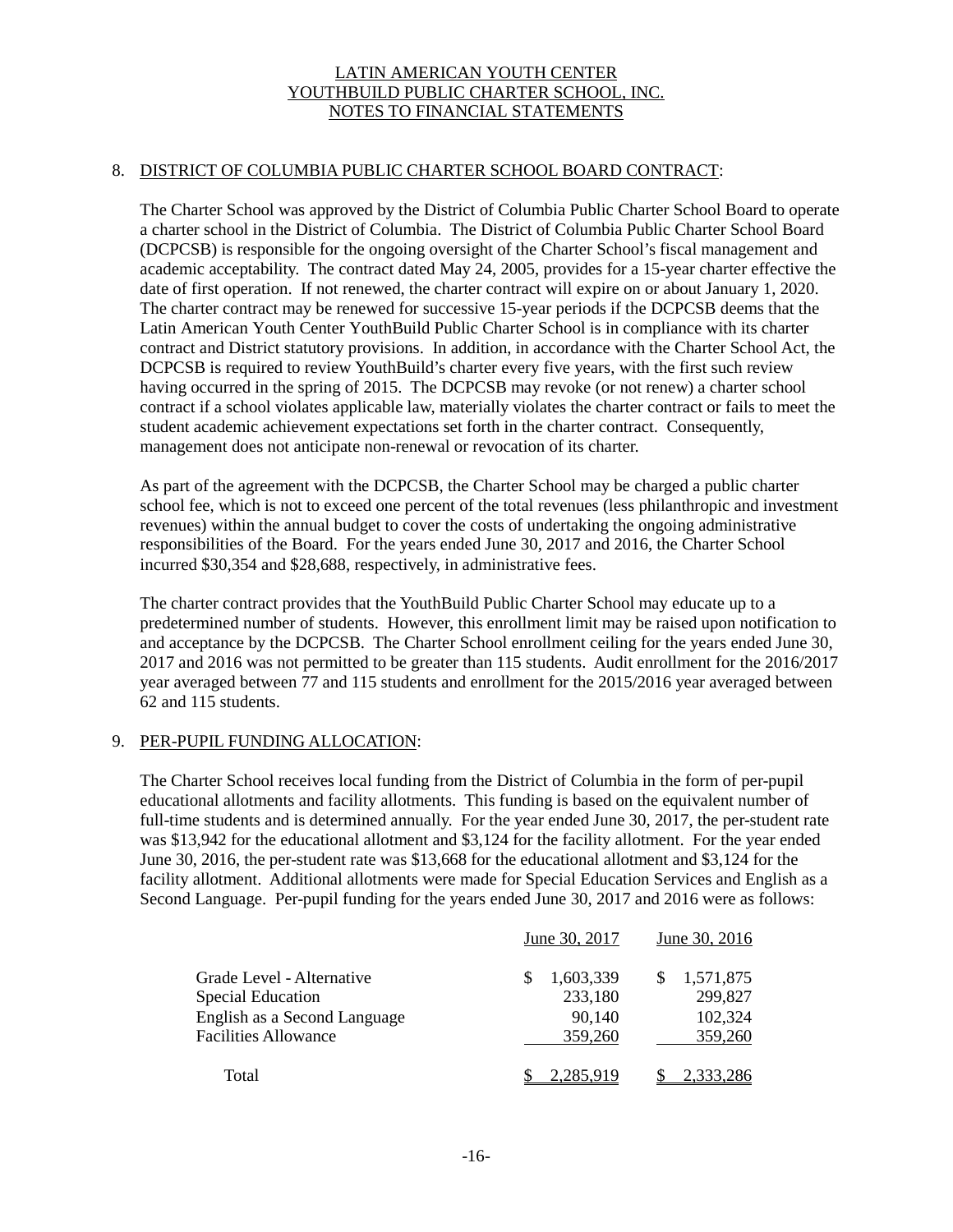## 8. DISTRICT OF COLUMBIA PUBLIC CHARTER SCHOOL BOARD CONTRACT:

The Charter School was approved by the District of Columbia Public Charter School Board to operate a charter school in the District of Columbia. The District of Columbia Public Charter School Board (DCPCSB) is responsible for the ongoing oversight of the Charter School's fiscal management and academic acceptability. The contract dated May 24, 2005, provides for a 15-year charter effective the date of first operation. If not renewed, the charter contract will expire on or about January 1, 2020. The charter contract may be renewed for successive 15-year periods if the DCPCSB deems that the Latin American Youth Center YouthBuild Public Charter School is in compliance with its charter contract and District statutory provisions. In addition, in accordance with the Charter School Act, the DCPCSB is required to review YouthBuild's charter every five years, with the first such review having occurred in the spring of 2015. The DCPCSB may revoke (or not renew) a charter school contract if a school violates applicable law, materially violates the charter contract or fails to meet the student academic achievement expectations set forth in the charter contract. Consequently, management does not anticipate non-renewal or revocation of its charter.

As part of the agreement with the DCPCSB, the Charter School may be charged a public charter school fee, which is not to exceed one percent of the total revenues (less philanthropic and investment revenues) within the annual budget to cover the costs of undertaking the ongoing administrative responsibilities of the Board. For the years ended June 30, 2017 and 2016, the Charter School incurred \$30,354 and \$28,688, respectively, in administrative fees.

The charter contract provides that the YouthBuild Public Charter School may educate up to a predetermined number of students. However, this enrollment limit may be raised upon notification to and acceptance by the DCPCSB. The Charter School enrollment ceiling for the years ended June 30, 2017 and 2016 was not permitted to be greater than 115 students. Audit enrollment for the 2016/2017 year averaged between 77 and 115 students and enrollment for the 2015/2016 year averaged between 62 and 115 students.

## 9. PER-PUPIL FUNDING ALLOCATION:

The Charter School receives local funding from the District of Columbia in the form of per-pupil educational allotments and facility allotments. This funding is based on the equivalent number of full-time students and is determined annually. For the year ended June 30, 2017, the per-student rate was \$13,942 for the educational allotment and \$3,124 for the facility allotment. For the year ended June 30, 2016, the per-student rate was \$13,668 for the educational allotment and \$3,124 for the facility allotment. Additional allotments were made for Special Education Services and English as a Second Language. Per-pupil funding for the years ended June 30, 2017 and 2016 were as follows:

|                              | June 30, 2017 | June 30, 2016 |
|------------------------------|---------------|---------------|
| Grade Level - Alternative    | 1,603,339     | 1,571,875     |
| Special Education            | 233,180       | 299,827       |
| English as a Second Language | 90,140        | 102,324       |
| <b>Facilities Allowance</b>  | 359,260       | 359,260       |
| Total                        | 2,285,919     | 2.333.286     |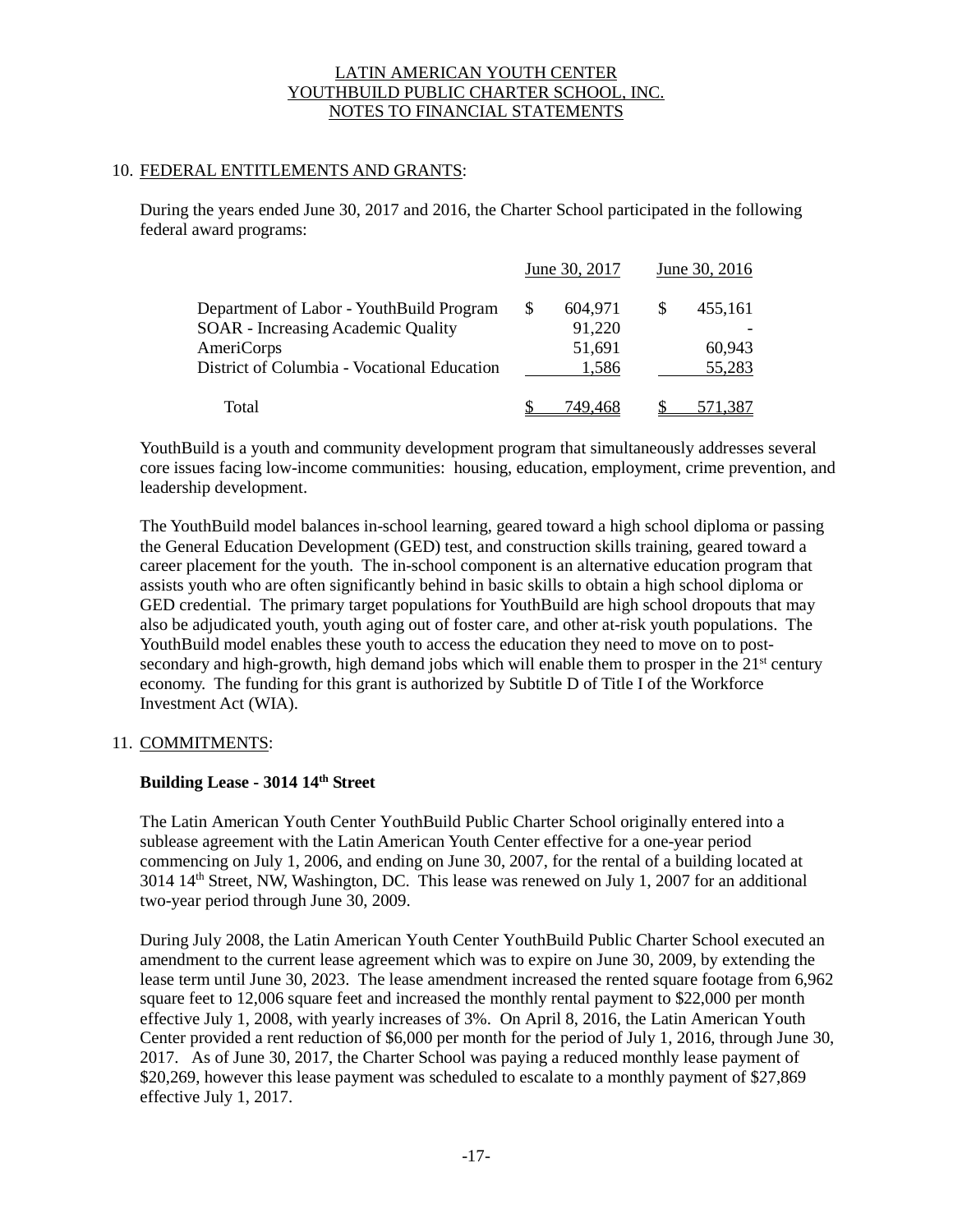## 10. FEDERAL ENTITLEMENTS AND GRANTS:

During the years ended June 30, 2017 and 2016, the Charter School participated in the following federal award programs:

|                                             |   | June 30, 2017 | June 30, 2016 |         |  |
|---------------------------------------------|---|---------------|---------------|---------|--|
| Department of Labor - YouthBuild Program    | S | 604.971       | <b>S</b>      | 455,161 |  |
| SOAR - Increasing Academic Quality          |   | 91,220        |               |         |  |
| AmeriCorps                                  |   | 51,691        |               | 60,943  |  |
| District of Columbia - Vocational Education |   | 1,586         |               | 55,283  |  |
| Total                                       |   | 749 468       |               | 571,387 |  |

YouthBuild is a youth and community development program that simultaneously addresses several core issues facing low-income communities: housing, education, employment, crime prevention, and leadership development.

The YouthBuild model balances in-school learning, geared toward a high school diploma or passing the General Education Development (GED) test, and construction skills training, geared toward a career placement for the youth. The in-school component is an alternative education program that assists youth who are often significantly behind in basic skills to obtain a high school diploma or GED credential. The primary target populations for YouthBuild are high school dropouts that may also be adjudicated youth, youth aging out of foster care, and other at-risk youth populations. The YouthBuild model enables these youth to access the education they need to move on to postsecondary and high-growth, high demand jobs which will enable them to prosper in the  $21<sup>st</sup>$  century economy. The funding for this grant is authorized by Subtitle D of Title I of the Workforce Investment Act (WIA).

## 11. COMMITMENTS:

## **Building Lease - 3014 14th Street**

The Latin American Youth Center YouthBuild Public Charter School originally entered into a sublease agreement with the Latin American Youth Center effective for a one-year period commencing on July 1, 2006, and ending on June 30, 2007, for the rental of a building located at 3014 14th Street, NW, Washington, DC. This lease was renewed on July 1, 2007 for an additional two-year period through June 30, 2009.

During July 2008, the Latin American Youth Center YouthBuild Public Charter School executed an amendment to the current lease agreement which was to expire on June 30, 2009, by extending the lease term until June 30, 2023. The lease amendment increased the rented square footage from 6,962 square feet to 12,006 square feet and increased the monthly rental payment to \$22,000 per month effective July 1, 2008, with yearly increases of 3%. On April 8, 2016, the Latin American Youth Center provided a rent reduction of \$6,000 per month for the period of July 1, 2016, through June 30, 2017. As of June 30, 2017, the Charter School was paying a reduced monthly lease payment of \$20,269, however this lease payment was scheduled to escalate to a monthly payment of \$27,869 effective July 1, 2017.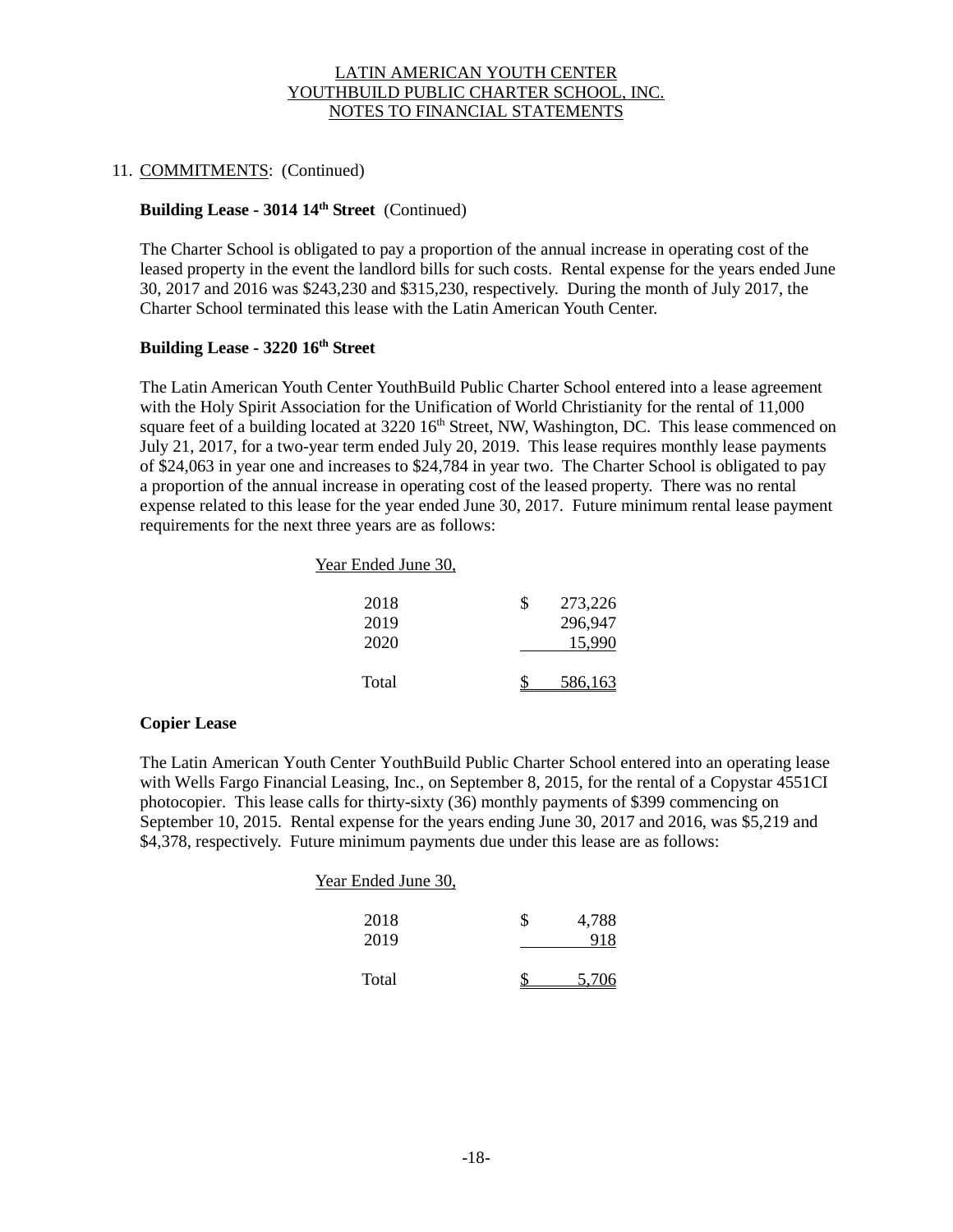## 11. COMMITMENTS: (Continued)

## **Building Lease - 3014 14th Street** (Continued)

The Charter School is obligated to pay a proportion of the annual increase in operating cost of the leased property in the event the landlord bills for such costs. Rental expense for the years ended June 30, 2017 and 2016 was \$243,230 and \$315,230, respectively. During the month of July 2017, the Charter School terminated this lease with the Latin American Youth Center.

#### **Building Lease - 3220 16th Street**

The Latin American Youth Center YouthBuild Public Charter School entered into a lease agreement with the Holy Spirit Association for the Unification of World Christianity for the rental of 11,000 square feet of a building located at 3220 16<sup>th</sup> Street, NW, Washington, DC. This lease commenced on July 21, 2017, for a two-year term ended July 20, 2019. This lease requires monthly lease payments of \$24,063 in year one and increases to \$24,784 in year two. The Charter School is obligated to pay a proportion of the annual increase in operating cost of the leased property. There was no rental expense related to this lease for the year ended June 30, 2017. Future minimum rental lease payment requirements for the next three years are as follows:

| Year Ended June 30, |   |         |
|---------------------|---|---------|
| 2018                | S | 273,226 |
| 2019                |   | 296,947 |
| 2020                |   | 15,990  |
| Total               |   | 586.163 |

#### **Copier Lease**

The Latin American Youth Center YouthBuild Public Charter School entered into an operating lease with Wells Fargo Financial Leasing, Inc., on September 8, 2015, for the rental of a Copystar 4551CI photocopier. This lease calls for thirty-sixty (36) monthly payments of \$399 commencing on September 10, 2015. Rental expense for the years ending June 30, 2017 and 2016, was \$5,219 and \$4,378, respectively. Future minimum payments due under this lease are as follows:

| Year Ended June 30, |             |
|---------------------|-------------|
| 2018                | \$<br>4,788 |
| 2019                | 918         |
| Total               |             |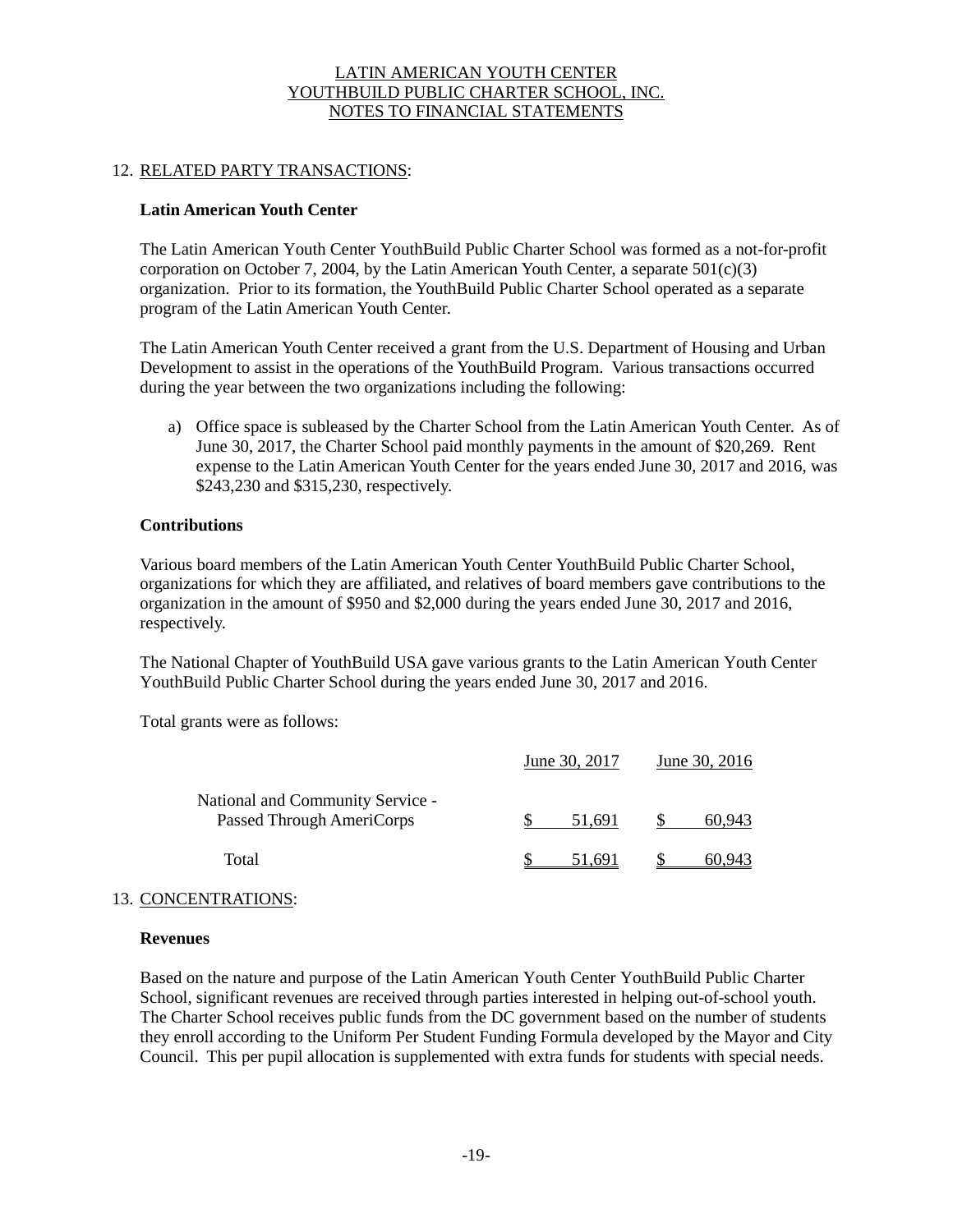## 12. RELATED PARTY TRANSACTIONS:

## **Latin American Youth Center**

The Latin American Youth Center YouthBuild Public Charter School was formed as a not-for-profit corporation on October 7, 2004, by the Latin American Youth Center, a separate  $501(c)(3)$ organization. Prior to its formation, the YouthBuild Public Charter School operated as a separate program of the Latin American Youth Center.

The Latin American Youth Center received a grant from the U.S. Department of Housing and Urban Development to assist in the operations of the YouthBuild Program. Various transactions occurred during the year between the two organizations including the following:

a) Office space is subleased by the Charter School from the Latin American Youth Center. As of June 30, 2017, the Charter School paid monthly payments in the amount of \$20,269. Rent expense to the Latin American Youth Center for the years ended June 30, 2017 and 2016, was \$243,230 and \$315,230, respectively.

## **Contributions**

Various board members of the Latin American Youth Center YouthBuild Public Charter School, organizations for which they are affiliated, and relatives of board members gave contributions to the organization in the amount of \$950 and \$2,000 during the years ended June 30, 2017 and 2016, respectively.

The National Chapter of YouthBuild USA gave various grants to the Latin American Youth Center YouthBuild Public Charter School during the years ended June 30, 2017 and 2016.

Total grants were as follows:

|                                                               | June 30, 2017 | June 30, 2016 |  |  |
|---------------------------------------------------------------|---------------|---------------|--|--|
| National and Community Service -<br>Passed Through AmeriCorps | 51.691        | 60.943        |  |  |
| Total                                                         | 51.691        |               |  |  |

## 13. CONCENTRATIONS:

## **Revenues**

Based on the nature and purpose of the Latin American Youth Center YouthBuild Public Charter School, significant revenues are received through parties interested in helping out-of-school youth. The Charter School receives public funds from the DC government based on the number of students they enroll according to the Uniform Per Student Funding Formula developed by the Mayor and City Council. This per pupil allocation is supplemented with extra funds for students with special needs.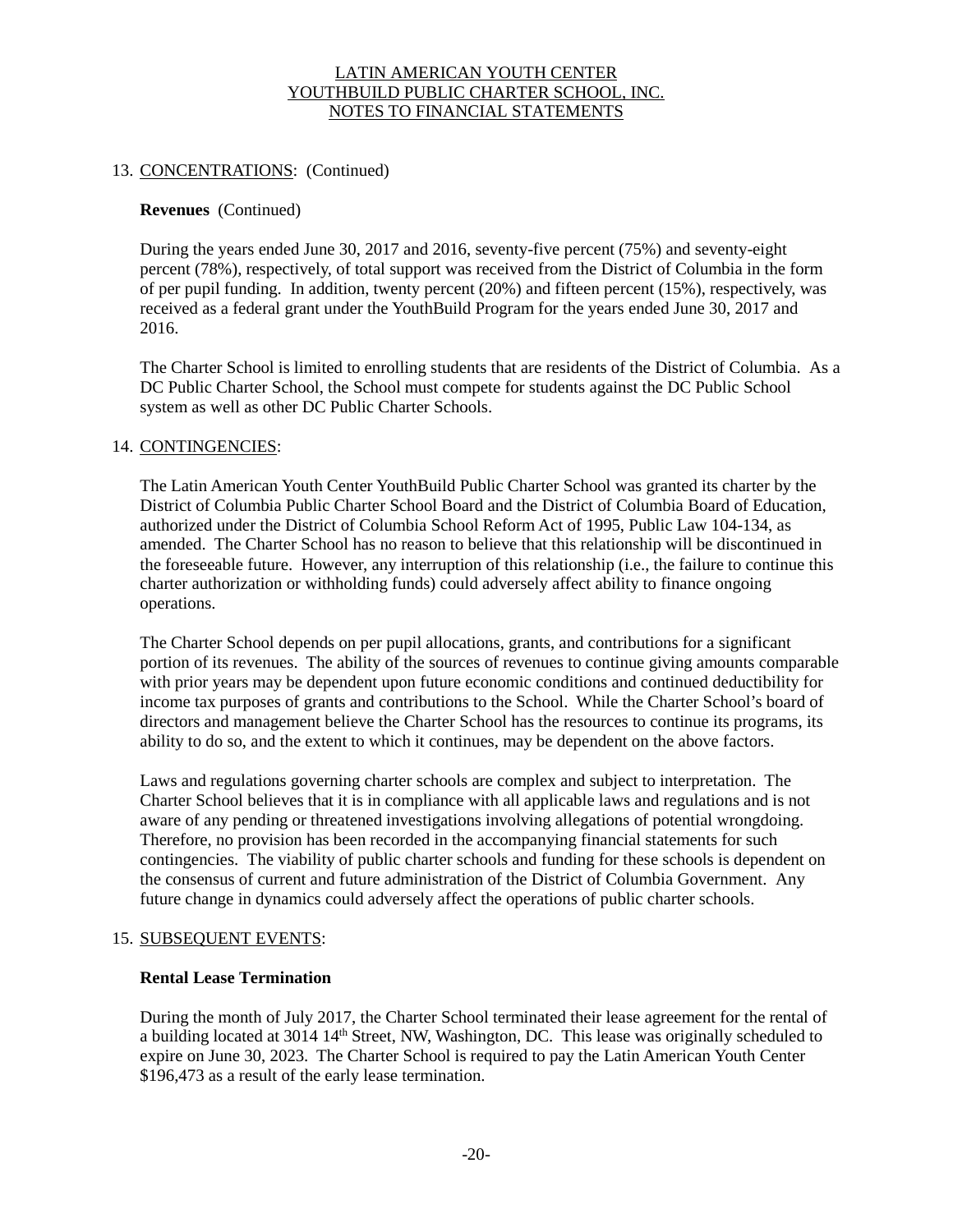## 13. CONCENTRATIONS: (Continued)

#### **Revenues** (Continued)

During the years ended June 30, 2017 and 2016, seventy-five percent (75%) and seventy-eight percent (78%), respectively, of total support was received from the District of Columbia in the form of per pupil funding. In addition, twenty percent (20%) and fifteen percent (15%), respectively, was received as a federal grant under the YouthBuild Program for the years ended June 30, 2017 and 2016.

The Charter School is limited to enrolling students that are residents of the District of Columbia. As a DC Public Charter School, the School must compete for students against the DC Public School system as well as other DC Public Charter Schools.

#### 14. CONTINGENCIES:

The Latin American Youth Center YouthBuild Public Charter School was granted its charter by the District of Columbia Public Charter School Board and the District of Columbia Board of Education, authorized under the District of Columbia School Reform Act of 1995, Public Law 104-134, as amended. The Charter School has no reason to believe that this relationship will be discontinued in the foreseeable future. However, any interruption of this relationship (i.e., the failure to continue this charter authorization or withholding funds) could adversely affect ability to finance ongoing operations.

The Charter School depends on per pupil allocations, grants, and contributions for a significant portion of its revenues. The ability of the sources of revenues to continue giving amounts comparable with prior years may be dependent upon future economic conditions and continued deductibility for income tax purposes of grants and contributions to the School. While the Charter School's board of directors and management believe the Charter School has the resources to continue its programs, its ability to do so, and the extent to which it continues, may be dependent on the above factors.

Laws and regulations governing charter schools are complex and subject to interpretation. The Charter School believes that it is in compliance with all applicable laws and regulations and is not aware of any pending or threatened investigations involving allegations of potential wrongdoing. Therefore, no provision has been recorded in the accompanying financial statements for such contingencies. The viability of public charter schools and funding for these schools is dependent on the consensus of current and future administration of the District of Columbia Government. Any future change in dynamics could adversely affect the operations of public charter schools.

## 15. SUBSEQUENT EVENTS:

#### **Rental Lease Termination**

During the month of July 2017, the Charter School terminated their lease agreement for the rental of a building located at  $3014 \, 14$ <sup>th</sup> Street, NW, Washington, DC. This lease was originally scheduled to expire on June 30, 2023. The Charter School is required to pay the Latin American Youth Center \$196,473 as a result of the early lease termination.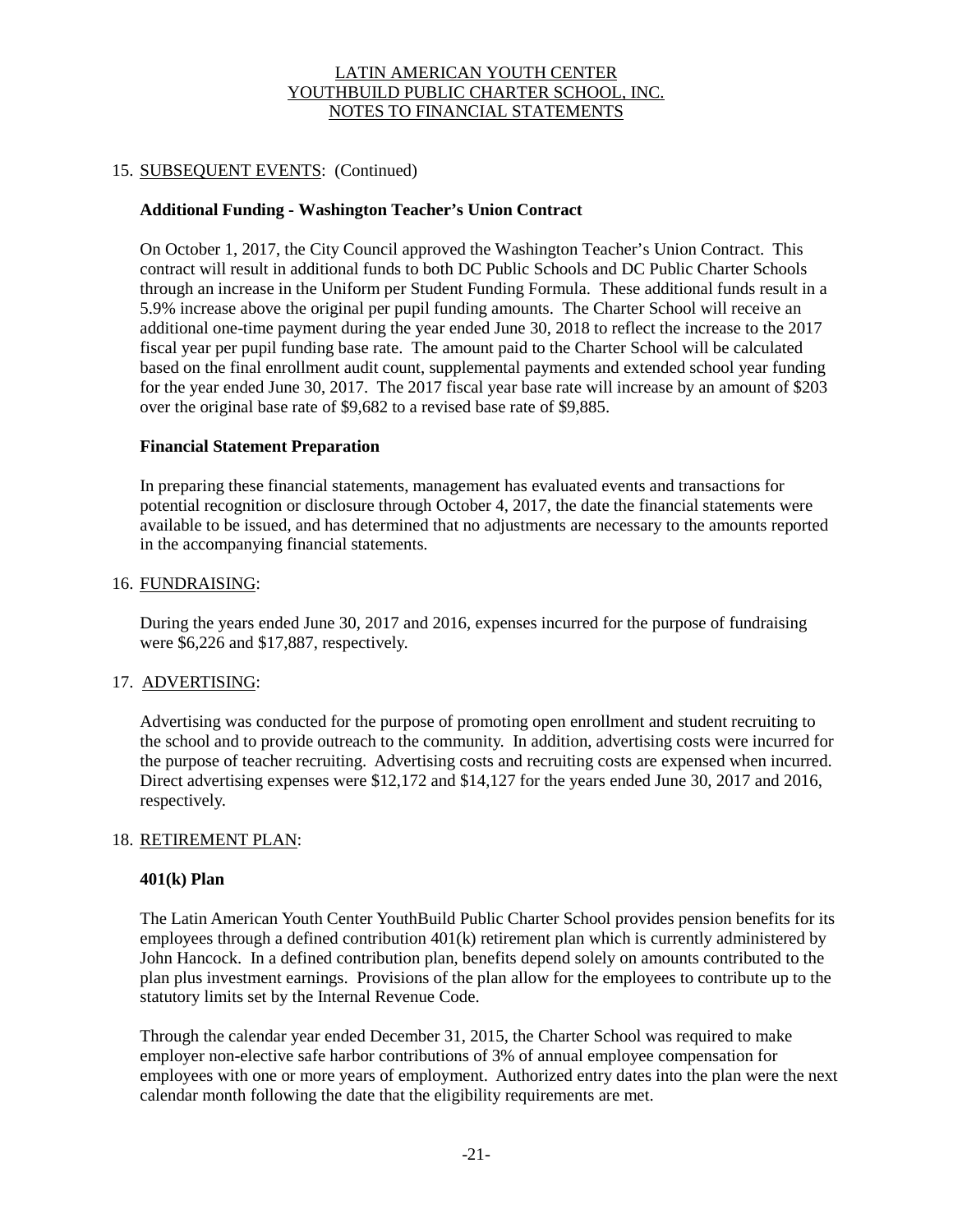## 15. SUBSEQUENT EVENTS: (Continued)

## **Additional Funding - Washington Teacher's Union Contract**

On October 1, 2017, the City Council approved the Washington Teacher's Union Contract. This contract will result in additional funds to both DC Public Schools and DC Public Charter Schools through an increase in the Uniform per Student Funding Formula. These additional funds result in a 5.9% increase above the original per pupil funding amounts. The Charter School will receive an additional one-time payment during the year ended June 30, 2018 to reflect the increase to the 2017 fiscal year per pupil funding base rate. The amount paid to the Charter School will be calculated based on the final enrollment audit count, supplemental payments and extended school year funding for the year ended June 30, 2017. The 2017 fiscal year base rate will increase by an amount of \$203 over the original base rate of \$9,682 to a revised base rate of \$9,885.

#### **Financial Statement Preparation**

In preparing these financial statements, management has evaluated events and transactions for potential recognition or disclosure through October 4, 2017, the date the financial statements were available to be issued, and has determined that no adjustments are necessary to the amounts reported in the accompanying financial statements.

#### 16. FUNDRAISING:

During the years ended June 30, 2017 and 2016, expenses incurred for the purpose of fundraising were \$6,226 and \$17,887, respectively.

#### 17. ADVERTISING:

Advertising was conducted for the purpose of promoting open enrollment and student recruiting to the school and to provide outreach to the community. In addition, advertising costs were incurred for the purpose of teacher recruiting. Advertising costs and recruiting costs are expensed when incurred. Direct advertising expenses were \$12,172 and \$14,127 for the years ended June 30, 2017 and 2016, respectively.

#### 18. RETIREMENT PLAN:

#### **401(k) Plan**

The Latin American Youth Center YouthBuild Public Charter School provides pension benefits for its employees through a defined contribution 401(k) retirement plan which is currently administered by John Hancock. In a defined contribution plan, benefits depend solely on amounts contributed to the plan plus investment earnings. Provisions of the plan allow for the employees to contribute up to the statutory limits set by the Internal Revenue Code.

Through the calendar year ended December 31, 2015, the Charter School was required to make employer non-elective safe harbor contributions of 3% of annual employee compensation for employees with one or more years of employment. Authorized entry dates into the plan were the next calendar month following the date that the eligibility requirements are met.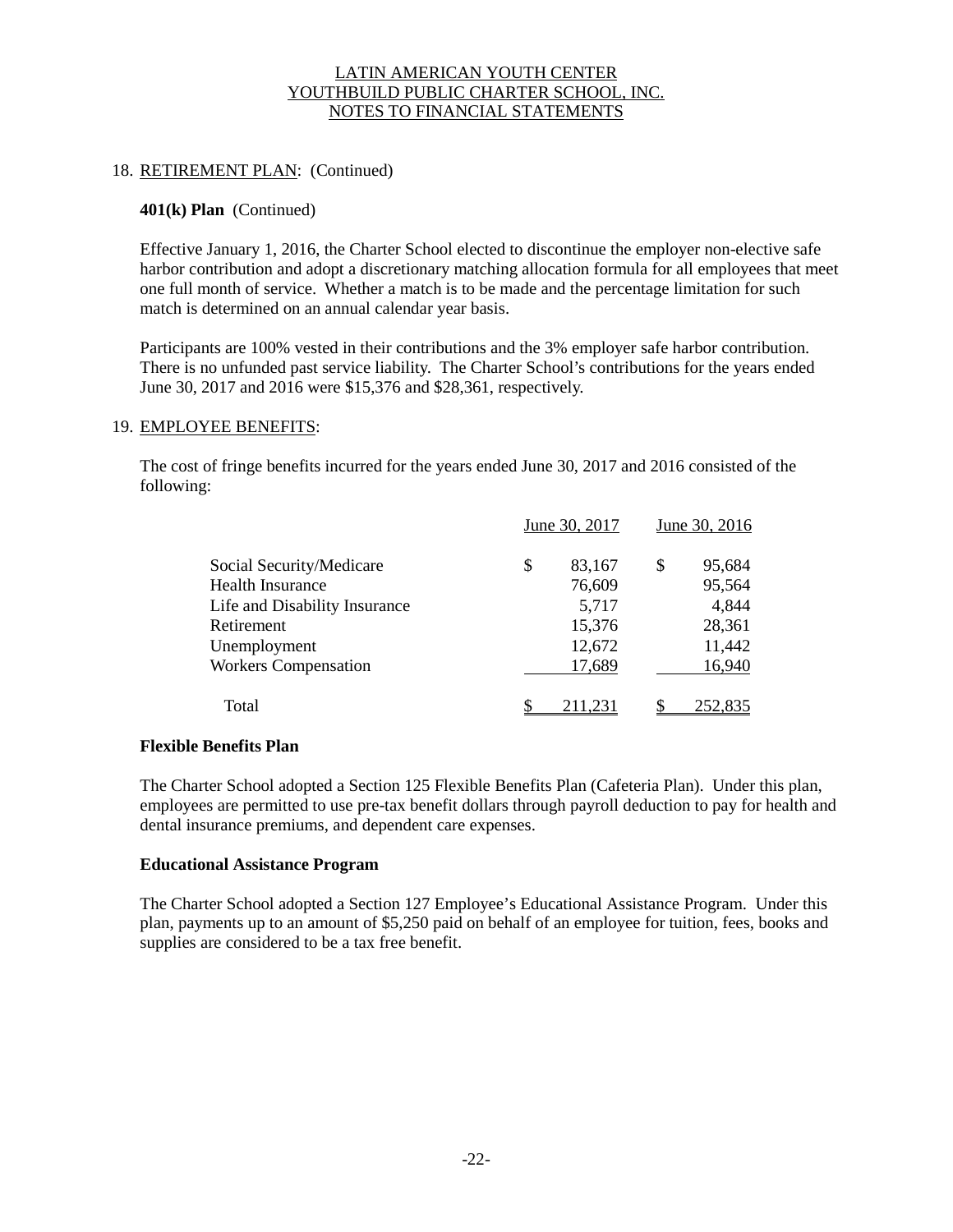## 18. RETIREMENT PLAN: (Continued)

#### **401(k) Plan** (Continued)

Effective January 1, 2016, the Charter School elected to discontinue the employer non-elective safe harbor contribution and adopt a discretionary matching allocation formula for all employees that meet one full month of service. Whether a match is to be made and the percentage limitation for such match is determined on an annual calendar year basis.

Participants are 100% vested in their contributions and the 3% employer safe harbor contribution. There is no unfunded past service liability. The Charter School's contributions for the years ended June 30, 2017 and 2016 were \$15,376 and \$28,361, respectively.

## 19. EMPLOYEE BENEFITS:

The cost of fringe benefits incurred for the years ended June 30, 2017 and 2016 consisted of the following:

|                               | June 30, 2017 |        | June 30, 2016 |         |
|-------------------------------|---------------|--------|---------------|---------|
| Social Security/Medicare      | \$            | 83,167 | \$            | 95.684  |
| <b>Health Insurance</b>       |               | 76,609 |               | 95,564  |
| Life and Disability Insurance |               | 5,717  |               | 4,844   |
| Retirement                    |               | 15,376 |               | 28,361  |
| Unemployment                  |               | 12,672 |               | 11,442  |
| <b>Workers Compensation</b>   |               | 17,689 |               | 16,940  |
| Total                         |               |        |               | 252.835 |

#### **Flexible Benefits Plan**

The Charter School adopted a Section 125 Flexible Benefits Plan (Cafeteria Plan). Under this plan, employees are permitted to use pre-tax benefit dollars through payroll deduction to pay for health and dental insurance premiums, and dependent care expenses.

## **Educational Assistance Program**

The Charter School adopted a Section 127 Employee's Educational Assistance Program. Under this plan, payments up to an amount of \$5,250 paid on behalf of an employee for tuition, fees, books and supplies are considered to be a tax free benefit.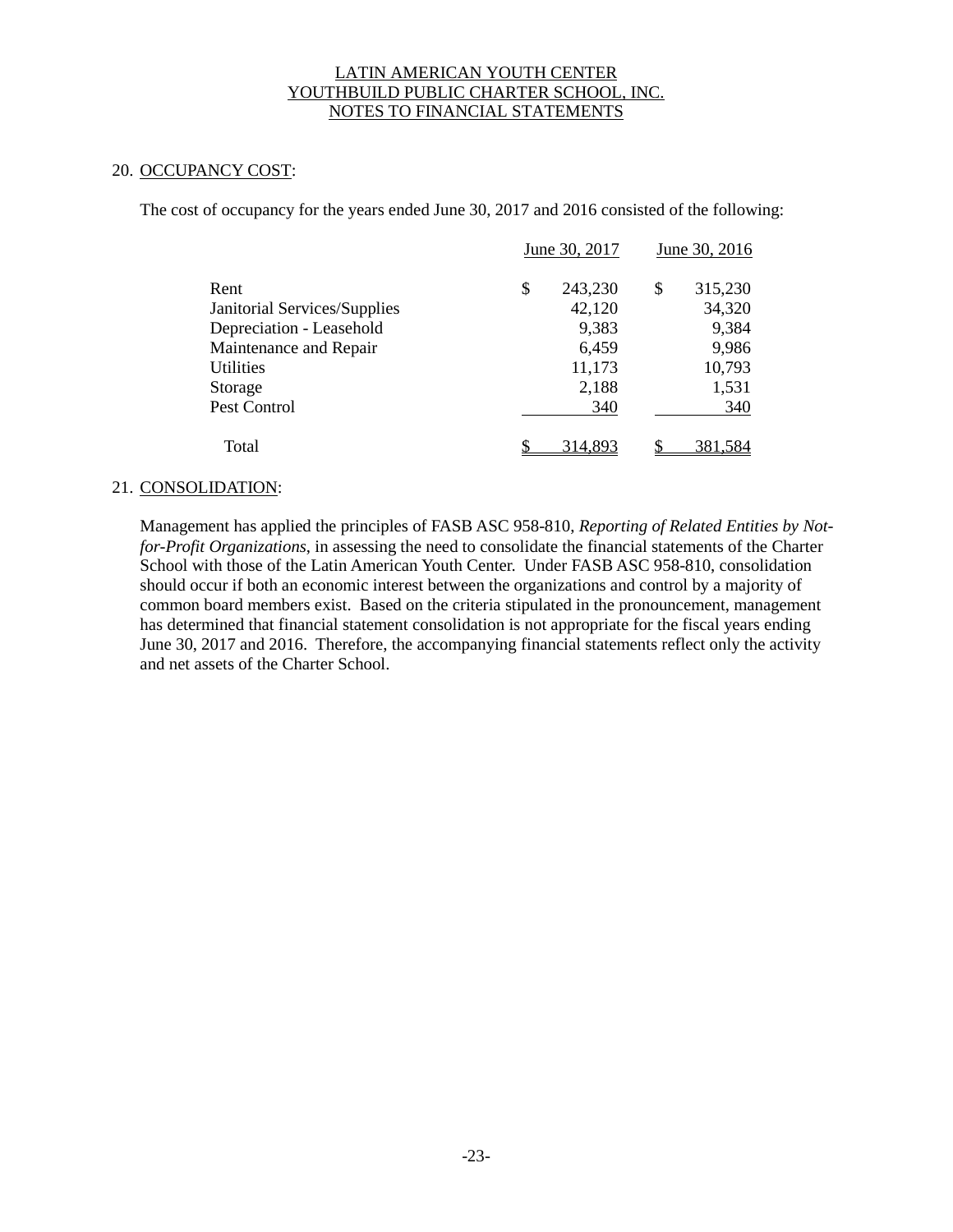## 20. OCCUPANCY COST:

The cost of occupancy for the years ended June 30, 2017 and 2016 consisted of the following:

|                              | June 30, 2017 |         | June 30, 2016 |         |
|------------------------------|---------------|---------|---------------|---------|
| Rent                         | \$            | 243,230 | \$            | 315,230 |
| Janitorial Services/Supplies |               | 42,120  |               | 34,320  |
| Depreciation - Leasehold     |               | 9,383   |               | 9,384   |
| Maintenance and Repair       |               | 6,459   |               | 9,986   |
| Utilities                    |               | 11,173  |               | 10,793  |
| Storage                      |               | 2,188   |               | 1,531   |
| Pest Control                 |               | 340     |               | 340     |
| Total                        |               | 314.893 |               |         |

## 21. CONSOLIDATION:

Management has applied the principles of FASB ASC 958-810, *Reporting of Related Entities by Notfor-Profit Organizations*, in assessing the need to consolidate the financial statements of the Charter School with those of the Latin American Youth Center. Under FASB ASC 958-810, consolidation should occur if both an economic interest between the organizations and control by a majority of common board members exist. Based on the criteria stipulated in the pronouncement, management has determined that financial statement consolidation is not appropriate for the fiscal years ending June 30, 2017 and 2016. Therefore, the accompanying financial statements reflect only the activity and net assets of the Charter School.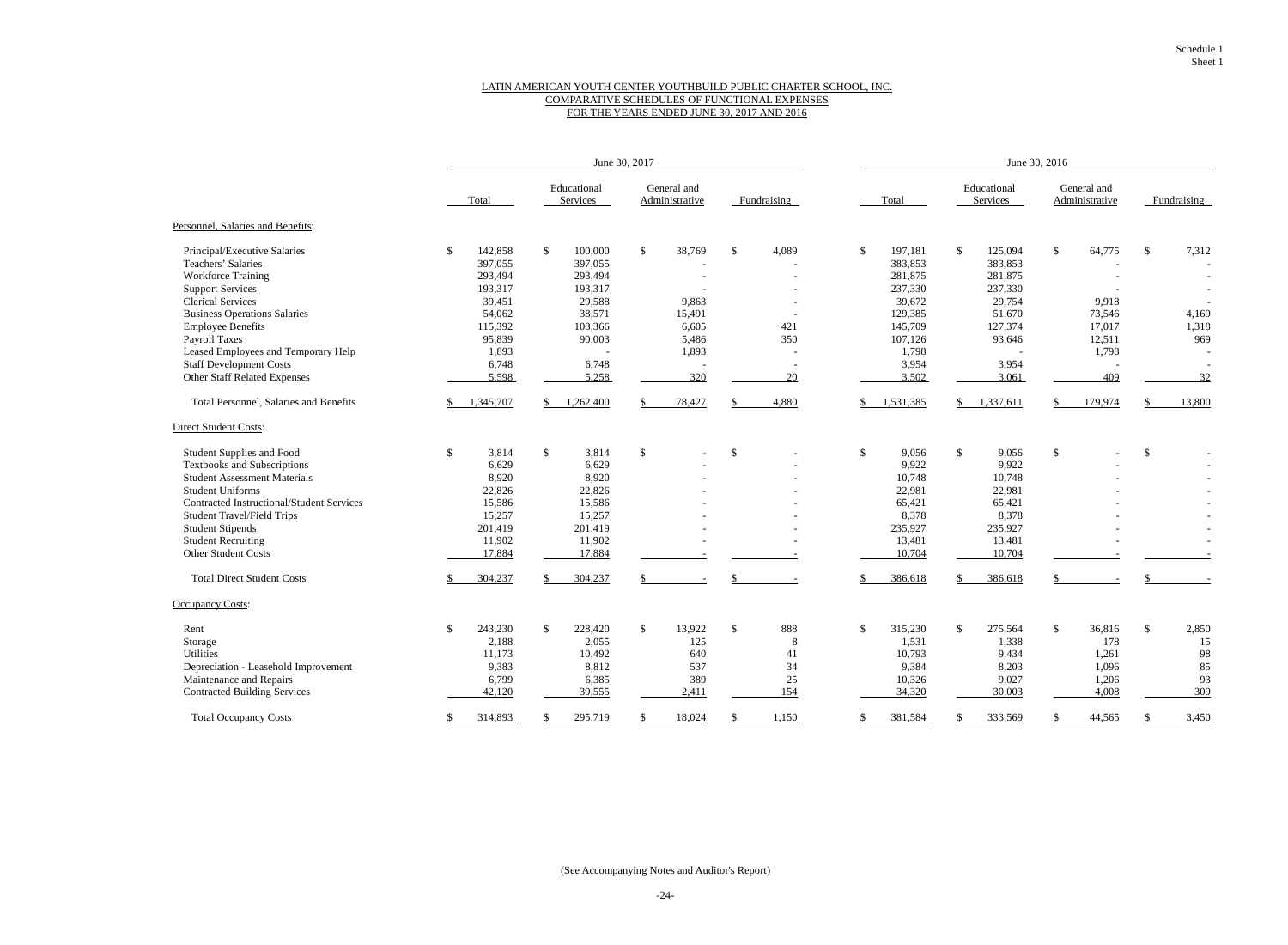#### LATIN AMERICAN YOUTH CENTER YOUTHBUILD PUBLIC CHARTER SCHOOL, INC. COMPARATIVE SCHEDULES OF FUNCTIONAL EXPENSES FOR THE YEARS ENDED JUNE 30, 2017 AND 2016

|                                                  | June 30, 2017           |                         |                               |                      | June 30, 2016           |                         |                               |                       |
|--------------------------------------------------|-------------------------|-------------------------|-------------------------------|----------------------|-------------------------|-------------------------|-------------------------------|-----------------------|
|                                                  | Total                   | Educational<br>Services | General and<br>Administrative | Fundraising          | Total                   | Educational<br>Services | General and<br>Administrative | Fundraising           |
| Personnel, Salaries and Benefits:                |                         |                         |                               |                      |                         |                         |                               |                       |
| Principal/Executive Salaries                     | $\mathbb{S}$<br>142,858 | $\mathbb{S}$<br>100,000 | 38,769<br>$\mathbb{S}$        | \$<br>4,089          | $\mathbb{S}$<br>197,181 | $\mathbb{S}$<br>125,094 | \$<br>64,775                  | 7,312<br>$\mathbb{S}$ |
| Teachers' Salaries                               | 397,055                 | 397,055                 |                               |                      | 383,853                 | 383,853                 |                               |                       |
| <b>Workforce Training</b>                        | 293,494                 | 293,494                 |                               |                      | 281,875                 | 281,875                 |                               |                       |
| <b>Support Services</b>                          | 193,317                 | 193,317                 |                               |                      | 237,330                 | 237,330                 |                               |                       |
| <b>Clerical Services</b>                         | 39,451                  | 29,588                  | 9,863                         |                      | 39,672                  | 29,754                  | 9,918                         |                       |
| <b>Business Operations Salaries</b>              | 54,062                  | 38,571                  | 15,491                        |                      | 129,385                 | 51,670                  | 73,546                        | 4,169                 |
| <b>Employee Benefits</b>                         | 115,392                 | 108,366                 | 6,605                         | 421                  | 145,709                 | 127,374                 | 17,017                        | 1,318                 |
| Payroll Taxes                                    | 95,839                  | 90,003                  | 5,486                         | 350                  | 107,126                 | 93,646                  | 12,511                        | 969                   |
| Leased Employees and Temporary Help              | 1,893                   |                         | 1,893                         |                      | 1,798                   |                         | 1,798                         |                       |
| <b>Staff Development Costs</b>                   | 6,748                   | 6,748                   |                               |                      | 3,954                   | 3,954                   |                               |                       |
| Other Staff Related Expenses                     | 5,598                   | 5,258                   | 320                           | 20                   | 3,502                   | 3,061                   | 409                           | 32                    |
| Total Personnel, Salaries and Benefits           | 1,345,707               | \$1,262,400             | 78,427                        | 4,880                | 1,531,385               | \$1,337,611             | 179,974                       | 13,800                |
| <b>Direct Student Costs:</b>                     |                         |                         |                               |                      |                         |                         |                               |                       |
| <b>Student Supplies and Food</b>                 | $\mathbb{S}$<br>3,814   | \$<br>3,814             | \$                            | $\mathcal{S}$        | $\mathbb{S}$<br>9,056   | $\mathbb{S}$<br>9,056   | \$                            | $\$$                  |
| <b>Textbooks and Subscriptions</b>               | 6,629                   | 6,629                   |                               |                      | 9,922                   | 9,922                   |                               |                       |
| <b>Student Assessment Materials</b>              | 8,920                   | 8,920                   |                               |                      | 10,748                  | 10,748                  |                               |                       |
| <b>Student Uniforms</b>                          | 22,826                  | 22,826                  |                               |                      | 22,981                  | 22,981                  |                               |                       |
| <b>Contracted Instructional/Student Services</b> | 15,586                  | 15,586                  |                               |                      | 65,421                  | 65,421                  |                               |                       |
| <b>Student Travel/Field Trips</b>                | 15,257                  | 15,257                  |                               |                      | 8,378                   | 8,378                   |                               |                       |
| <b>Student Stipends</b>                          | 201,419                 | 201,419                 |                               |                      | 235,927                 | 235,927                 |                               |                       |
| <b>Student Recruiting</b>                        | 11,902                  | 11,902                  |                               |                      | 13,481                  | 13,481                  |                               |                       |
| Other Student Costs                              | 17,884                  | 17,884                  |                               |                      | 10,704                  | 10,704                  |                               |                       |
| <b>Total Direct Student Costs</b>                | 304,237                 | 304,237                 |                               |                      | 386,618                 | 386,618                 |                               |                       |
| <b>Occupancy Costs:</b>                          |                         |                         |                               |                      |                         |                         |                               |                       |
| Rent                                             | 243,230<br>\$           | $\mathbb{S}$<br>228,420 | 13,922<br>\$                  | $\mathcal{S}$<br>888 | 315,230<br>$\mathbb{S}$ | $\mathbb{S}$<br>275,564 | \$<br>36,816                  | $\mathbb{S}$<br>2,850 |
| Storage                                          | 2,188                   | 2,055                   | 125                           | 8                    | 1,531                   | 1,338                   | 178                           | 15                    |
| Utilities                                        | 11,173                  | 10,492                  | 640                           | 41                   | 10,793                  | 9,434                   | 1,261                         | 98                    |
| Depreciation - Leasehold Improvement             | 9,383                   | 8,812                   | 537                           | 34                   | 9,384                   | 8,203                   | 1,096                         | 85                    |
| Maintenance and Repairs                          | 6,799                   | 6,385                   | 389                           | 25                   | 10,326                  | 9,027                   | 1,206                         | 93                    |
| <b>Contracted Building Services</b>              | 42,120                  | 39,555                  | 2,411                         | 154                  | 34,320                  | 30,003                  | 4,008                         | 309                   |
| <b>Total Occupancy Costs</b>                     | 314,893                 | 295,719                 | 18,024                        | 1,150                | 381,584                 | 333,569                 | 44,565                        | 3,450                 |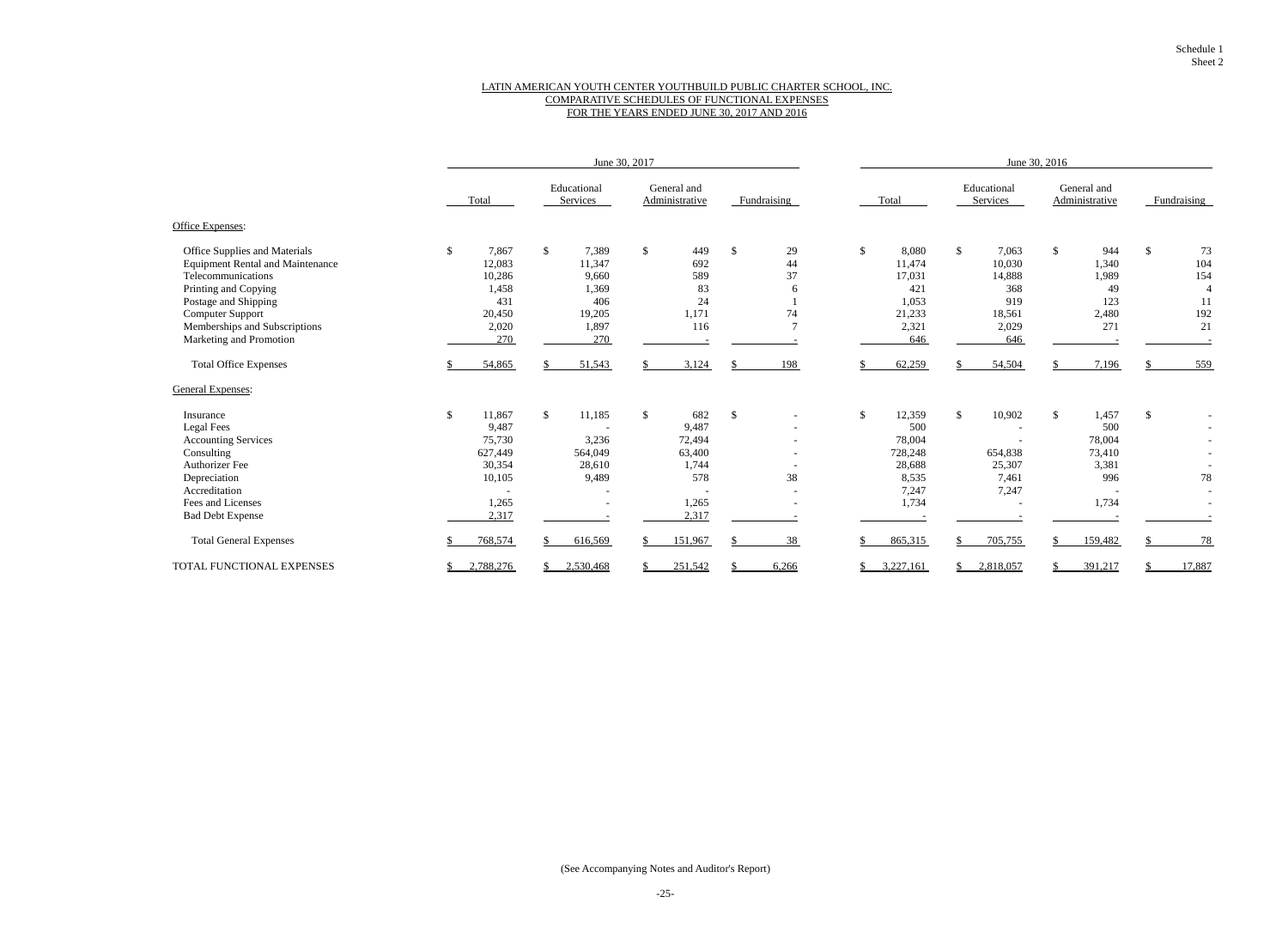#### LATIN AMERICAN YOUTH CENTER YOUTHBUILD PUBLIC CHARTER SCHOOL, INC. COMPARATIVE SCHEDULES OF FUNCTIONAL EXPENSES FOR THE YEARS ENDED JUNE 30, 2017 AND 2016

|                                         | June 30, 2017 |                         |                               |                     |                         | June 30, 2016           |                               |                          |
|-----------------------------------------|---------------|-------------------------|-------------------------------|---------------------|-------------------------|-------------------------|-------------------------------|--------------------------|
|                                         | Total         | Educational<br>Services | General and<br>Administrative | Fundraising         | Total                   | Educational<br>Services | General and<br>Administrative | Fundraising              |
| Office Expenses:                        |               |                         |                               |                     |                         |                         |                               |                          |
| Office Supplies and Materials           | 7,867<br>\$   | $\mathbb{S}$<br>7,389   | $\mathbb{S}$<br>449           | 29<br><sup>\$</sup> | $\mathbb{S}$<br>8,080   | $\mathbb{S}$<br>7,063   | $\mathbb{S}$<br>944           | $\mathbb{S}$<br>73       |
| <b>Equipment Rental and Maintenance</b> | 12,083        | 11,347                  | 692                           | 44                  | 11,474                  | 10,030                  | 1,340                         | 104                      |
| Telecommunications                      | 10,286        | 9,660                   | 589                           | 37                  | 17,031                  | 14,888                  | 1,989                         | 154                      |
| Printing and Copying                    | 1,458         | 1,369                   | 83                            | 6                   | 421                     | 368                     | 49                            | $\overline{4}$           |
| Postage and Shipping                    | 431           | 406                     | 24                            |                     | 1,053                   | 919                     | 123                           | 11                       |
| Computer Support                        | 20,450        | 19,205                  | 1,171                         | 74                  | 21,233                  | 18,561                  | 2,480                         | 192                      |
| Memberships and Subscriptions           | 2,020         | 1,897                   | 116                           | $\overline{7}$      | 2,321                   | 2,029                   | 271                           | 21                       |
| Marketing and Promotion                 | 270           | 270                     |                               |                     | 646                     | 646                     |                               |                          |
| <b>Total Office Expenses</b>            | 54,865        | 51,543                  | 3,124                         | 198                 | 62,259                  | 54,504                  | 7,196                         | 559                      |
| General Expenses:                       |               |                         |                               |                     |                         |                         |                               |                          |
| Insurance                               | 11,867<br>\$  | 11,185<br><sup>\$</sup> | <sup>\$</sup><br>682          | $\mathcal{S}$       | 12,359<br><sup>\$</sup> | $\mathbb{S}$<br>10,902  | $\mathcal{S}$<br>1,457        | $\mathbb{S}$             |
| <b>Legal Fees</b>                       | 9,487         |                         | 9.487                         |                     | 500                     |                         | 500                           |                          |
| <b>Accounting Services</b>              | 75,730        | 3,236                   | 72,494                        |                     | 78,004                  |                         | 78,004                        |                          |
| Consulting                              | 627,449       | 564,049                 | 63,400                        |                     | 728,248                 | 654,838                 | 73,410                        |                          |
| Authorizer Fee                          | 30,354        | 28,610                  | 1,744                         |                     | 28,688                  | 25,307                  | 3,381                         |                          |
| Depreciation                            | 10,105        | 9,489                   | 578                           | 38                  | 8,535                   | 7,461                   | 996                           | 78                       |
| Accreditation                           |               |                         | $\overline{\phantom{a}}$      |                     | 7,247                   | 7,247                   |                               | $\overline{\phantom{a}}$ |
| Fees and Licenses                       | 1,265         |                         | 1,265                         |                     | 1,734                   |                         | 1,734                         |                          |
| <b>Bad Debt Expense</b>                 | 2,317         |                         | 2,317                         |                     |                         |                         |                               |                          |
| <b>Total General Expenses</b>           | 768,574       | 616,569                 | 151,967                       | 38                  | 865,315                 | 705,755                 | 159,482                       | 78                       |
| TOTAL FUNCTIONAL EXPENSES               | 2,788,276     | 2,530,468               | 251,542                       | 6,266               | 3,227,161               | 2,818,057               | 391,217                       | 17,887                   |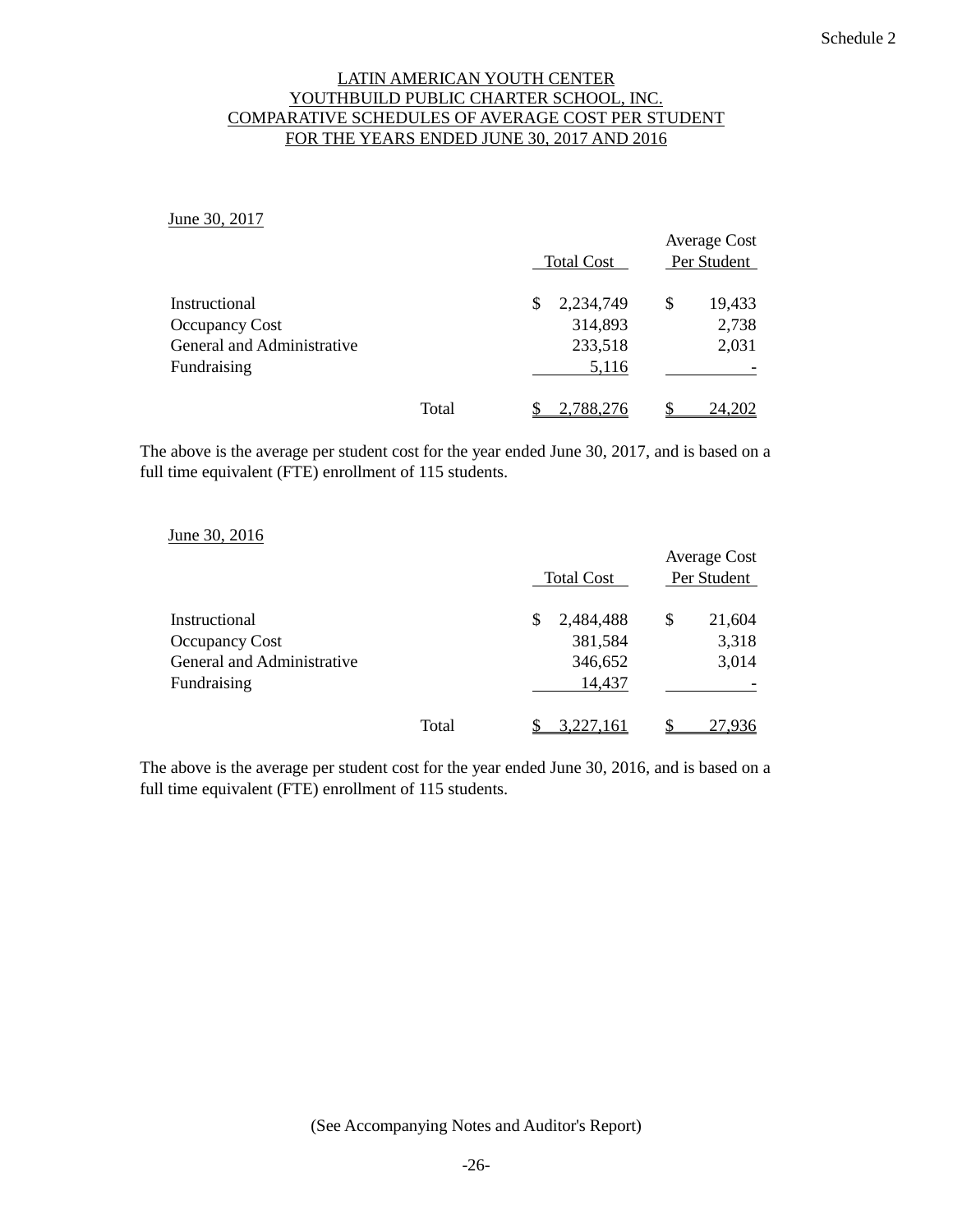## LATIN AMERICAN YOUTH CENTER YOUTHBUILD PUBLIC CHARTER SCHOOL, INC. COMPARATIVE SCHEDULES OF AVERAGE COST PER STUDENT FOR THE YEARS ENDED JUNE 30, 2017 AND 2016

June 30, 2017

|                            |       |   | <b>Total Cost</b> | <b>Average Cost</b><br>Per Student |
|----------------------------|-------|---|-------------------|------------------------------------|
| Instructional              |       | S | 2,234,749         | \$<br>19,433                       |
| <b>Occupancy Cost</b>      |       |   | 314,893           | 2,738                              |
| General and Administrative |       |   | 233,518           | 2,031                              |
| Fundraising                |       |   | 5,116             |                                    |
|                            | Total |   | 2,788,276         | 24.202                             |

The above is the average per student cost for the year ended June 30, 2017, and is based on a full time equivalent (FTE) enrollment of 115 students.

#### June 30, 2016

|                            |       | <b>Total Cost</b> |   | Average Cost<br>Per Student |
|----------------------------|-------|-------------------|---|-----------------------------|
| Instructional              |       | \$<br>2,484,488   | S | 21,604                      |
| <b>Occupancy Cost</b>      |       | 381,584           |   | 3,318                       |
| General and Administrative |       | 346,652           |   | 3,014                       |
| Fundraising                |       | 14,437            |   |                             |
|                            | Total | 3,227,161         |   | 27.936                      |

The above is the average per student cost for the year ended June 30, 2016, and is based on a full time equivalent (FTE) enrollment of 115 students.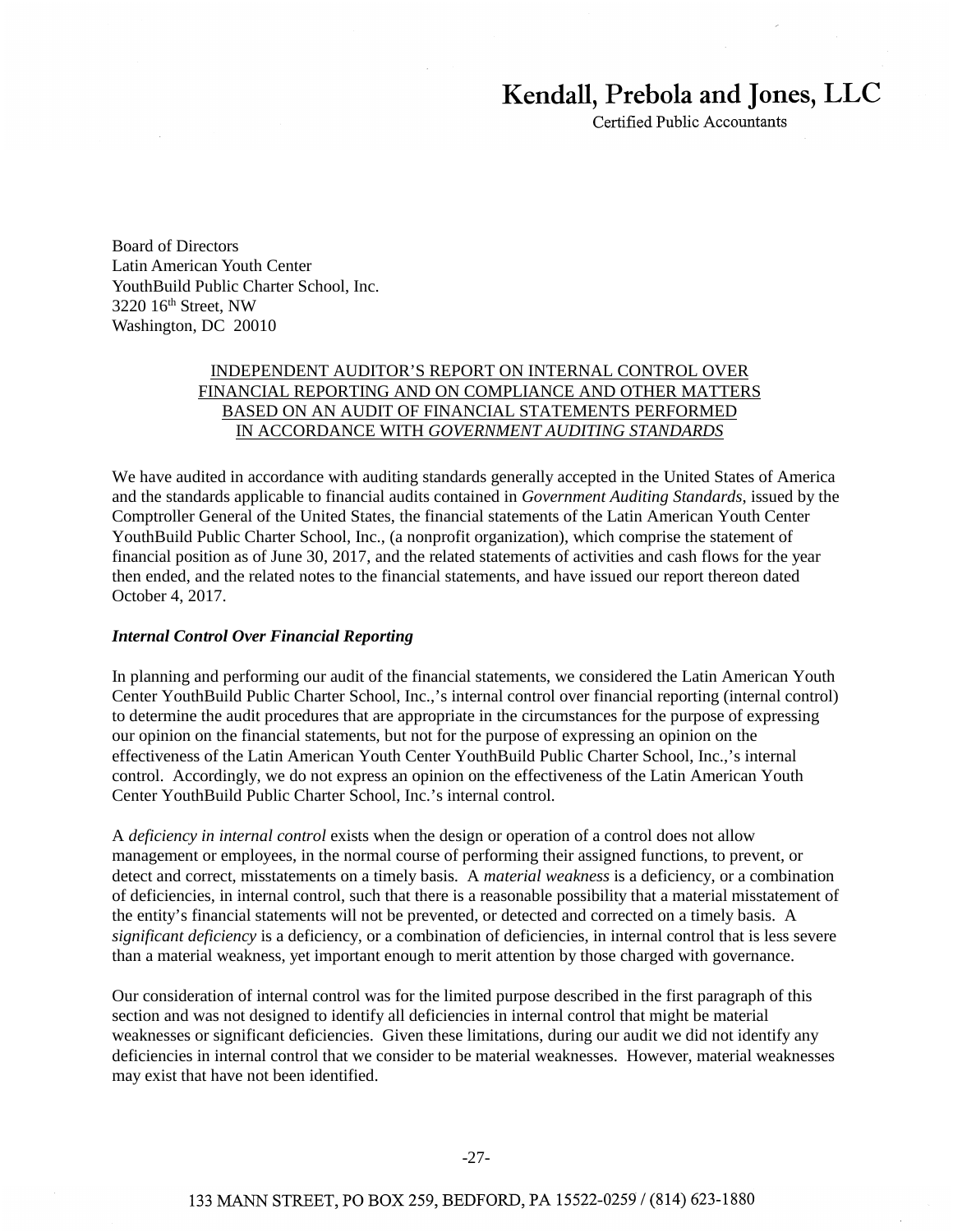# Kendall, Prebola and Jones, LLC

Certified Public Accountants

Board of Directors Latin American Youth Center YouthBuild Public Charter School, Inc. 3220 16th Street, NW Washington, DC 20010

## INDEPENDENT AUDITOR'S REPORT ON INTERNAL CONTROL OVER FINANCIAL REPORTING AND ON COMPLIANCE AND OTHER MATTERS BASED ON AN AUDIT OF FINANCIAL STATEMENTS PERFORMED IN ACCORDANCE WITH *GOVERNMENT AUDITING STANDARDS*

We have audited in accordance with auditing standards generally accepted in the United States of America and the standards applicable to financial audits contained in *Government Auditing Standards*, issued by the Comptroller General of the United States, the financial statements of the Latin American Youth Center YouthBuild Public Charter School, Inc., (a nonprofit organization), which comprise the statement of financial position as of June 30, 2017, and the related statements of activities and cash flows for the year then ended, and the related notes to the financial statements, and have issued our report thereon dated October 4, 2017.

#### *Internal Control Over Financial Reporting*

In planning and performing our audit of the financial statements, we considered the Latin American Youth Center YouthBuild Public Charter School, Inc.,'s internal control over financial reporting (internal control) to determine the audit procedures that are appropriate in the circumstances for the purpose of expressing our opinion on the financial statements, but not for the purpose of expressing an opinion on the effectiveness of the Latin American Youth Center YouthBuild Public Charter School, Inc.,'s internal control. Accordingly, we do not express an opinion on the effectiveness of the Latin American Youth Center YouthBuild Public Charter School, Inc.'s internal control.

A *deficiency in internal control* exists when the design or operation of a control does not allow management or employees, in the normal course of performing their assigned functions, to prevent, or detect and correct, misstatements on a timely basis. A *material weakness* is a deficiency, or a combination of deficiencies, in internal control, such that there is a reasonable possibility that a material misstatement of the entity's financial statements will not be prevented, or detected and corrected on a timely basis. A *significant deficiency* is a deficiency, or a combination of deficiencies, in internal control that is less severe than a material weakness, yet important enough to merit attention by those charged with governance.

Our consideration of internal control was for the limited purpose described in the first paragraph of this section and was not designed to identify all deficiencies in internal control that might be material weaknesses or significant deficiencies. Given these limitations, during our audit we did not identify any deficiencies in internal control that we consider to be material weaknesses. However, material weaknesses may exist that have not been identified.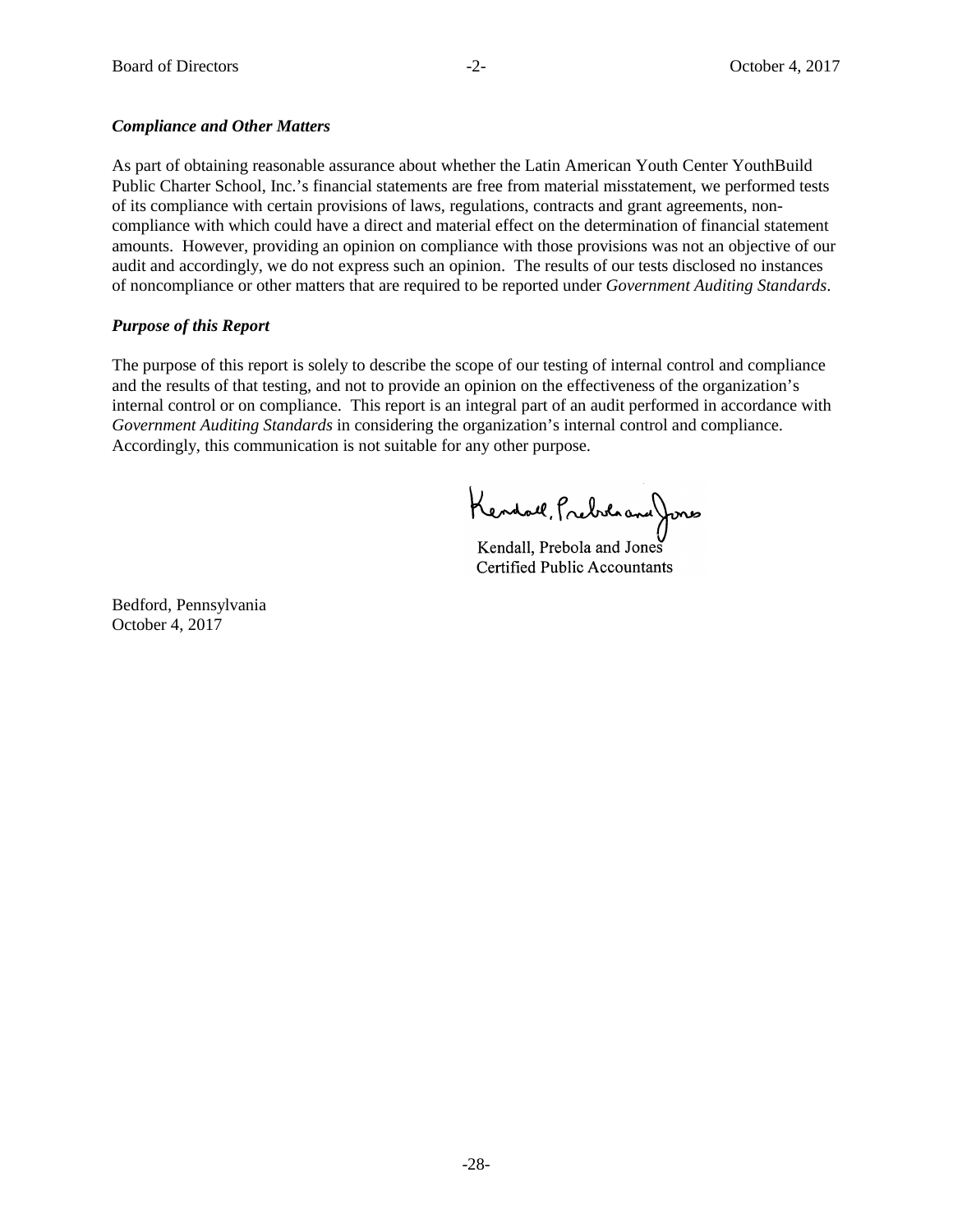## *Compliance and Other Matters* **including and reconciling such information directly to the unit of underlying and other Matters**

As part of obtaining reasonable assurance about whether the Latin American Youth Center YouthBuild Public Charter School, Inc.'s financial statements are free from material misstatement, we performed tests of its compliance with certain provisions of laws, regulations, contracts and grant agreements, noncompliance with which could have a direct and material effect on the determination of financial statement amounts. However, providing an opinion on compliance with those provisions was not an objective of our audit and accordingly, we do not express such an opinion. The results of our tests disclosed no instances of noncompliance or other matters that are required to be reported under *Government Auditing Standards*. records used to prepare the financial statements or to the financial statements themselves, and other As part of obtaining reasonable assurance about whether the Latin American Youth Center Youth Bui

## *Purpose of this Report*  $\blacksquare$

The purpose of this report is solely to describe the scope of our testing of internal control and compliance and the results of that testing, and not to provide an opinion on the effectiveness of the organization's internal control or on compliance. This report is an integral part of an audit performed in accordance with Government Auditing Standards in considering the organization's internal control and compliance. Accordingly, this communication is not suitable for any other purpose.

Kendal, Prebia and Jones

Kendall, Prebola and Jones Kendall, Prebola and Jones Certified Public Accountants Certified Public Accountants

Bedford, Pennsylvania Bedford, Pennsylvania October 4, 2017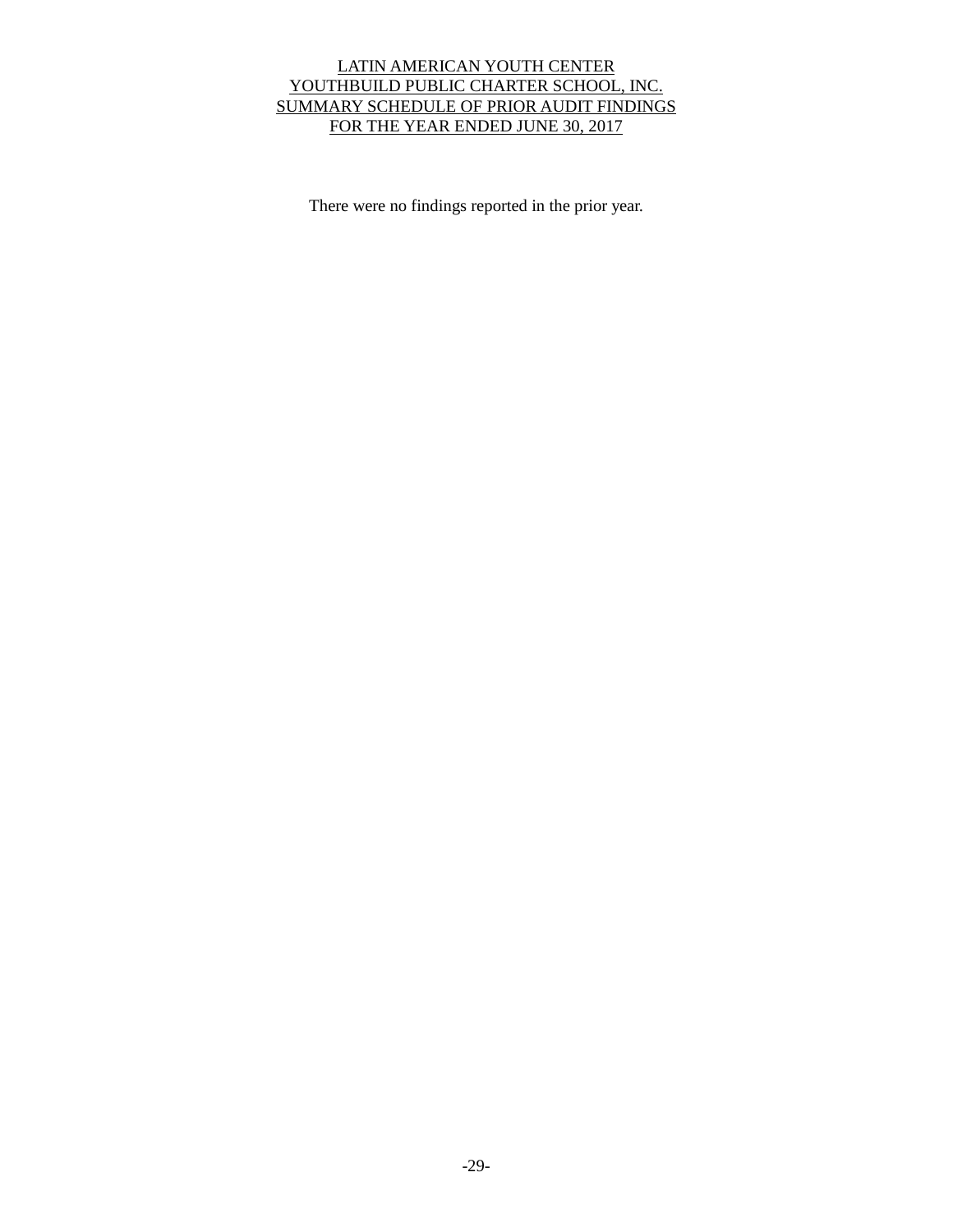## LATIN AMERICAN YOUTH CENTER YOUTHBUILD PUBLIC CHARTER SCHOOL, INC. SUMMARY SCHEDULE OF PRIOR AUDIT FINDINGS FOR THE YEAR ENDED JUNE 30, 2017

There were no findings reported in the prior year.